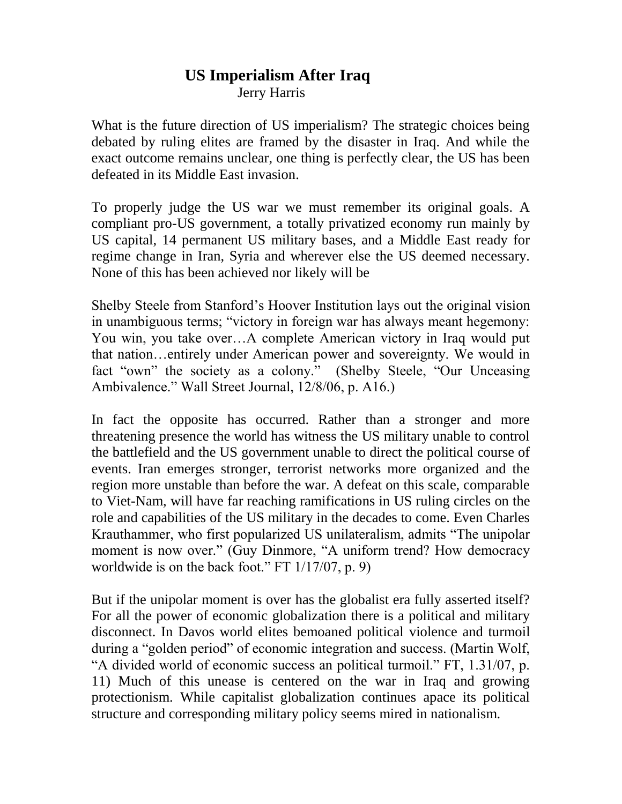# **US Imperialism After Iraq** Jerry Harris

What is the future direction of US imperialism? The strategic choices being debated by ruling elites are framed by the disaster in Iraq. And while the exact outcome remains unclear, one thing is perfectly clear, the US has been defeated in its Middle East invasion.

To properly judge the US war we must remember its original goals. A compliant pro-US government, a totally privatized economy run mainly by US capital, 14 permanent US military bases, and a Middle East ready for regime change in Iran, Syria and wherever else the US deemed necessary. None of this has been achieved nor likely will be

Shelby Steele from Stanford's Hoover Institution lays out the original vision in unambiguous terms; "victory in foreign war has always meant hegemony: You win, you take over…A complete American victory in Iraq would put that nation…entirely under American power and sovereignty. We would in fact "own" the society as a colony." (Shelby Steele, "Our Unceasing Ambivalence." Wall Street Journal, 12/8/06, p. A16.)

In fact the opposite has occurred. Rather than a stronger and more threatening presence the world has witness the US military unable to control the battlefield and the US government unable to direct the political course of events. Iran emerges stronger, terrorist networks more organized and the region more unstable than before the war. A defeat on this scale, comparable to Viet-Nam, will have far reaching ramifications in US ruling circles on the role and capabilities of the US military in the decades to come. Even Charles Krauthammer, who first popularized US unilateralism, admits "The unipolar moment is now over." (Guy Dinmore, "A uniform trend? How democracy worldwide is on the back foot." FT 1/17/07, p. 9)

But if the unipolar moment is over has the globalist era fully asserted itself? For all the power of economic globalization there is a political and military disconnect. In Davos world elites bemoaned political violence and turmoil during a "golden period" of economic integration and success. (Martin Wolf, "A divided world of economic success an political turmoil." FT, 1.31/07, p. 11) Much of this unease is centered on the war in Iraq and growing protectionism. While capitalist globalization continues apace its political structure and corresponding military policy seems mired in nationalism.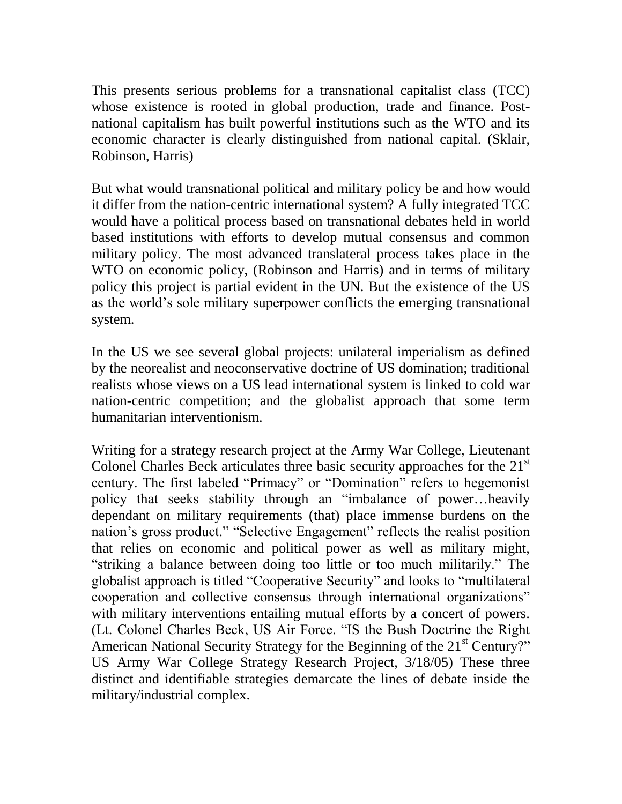This presents serious problems for a transnational capitalist class (TCC) whose existence is rooted in global production, trade and finance. Postnational capitalism has built powerful institutions such as the WTO and its economic character is clearly distinguished from national capital. (Sklair, Robinson, Harris)

But what would transnational political and military policy be and how would it differ from the nation-centric international system? A fully integrated TCC would have a political process based on transnational debates held in world based institutions with efforts to develop mutual consensus and common military policy. The most advanced translateral process takes place in the WTO on economic policy, (Robinson and Harris) and in terms of military policy this project is partial evident in the UN. But the existence of the US as the world's sole military superpower conflicts the emerging transnational system.

In the US we see several global projects: unilateral imperialism as defined by the neorealist and neoconservative doctrine of US domination; traditional realists whose views on a US lead international system is linked to cold war nation-centric competition; and the globalist approach that some term humanitarian interventionism.

Writing for a strategy research project at the Army War College, Lieutenant Colonel Charles Beck articulates three basic security approaches for the  $21<sup>st</sup>$ century. The first labeled "Primacy" or "Domination" refers to hegemonist policy that seeks stability through an "imbalance of power…heavily dependant on military requirements (that) place immense burdens on the nation's gross product." "Selective Engagement" reflects the realist position that relies on economic and political power as well as military might, "striking a balance between doing too little or too much militarily." The globalist approach is titled "Cooperative Security" and looks to "multilateral cooperation and collective consensus through international organizations" with military interventions entailing mutual efforts by a concert of powers. (Lt. Colonel Charles Beck, US Air Force. "IS the Bush Doctrine the Right American National Security Strategy for the Beginning of the 21<sup>st</sup> Century?" US Army War College Strategy Research Project, 3/18/05) These three distinct and identifiable strategies demarcate the lines of debate inside the military/industrial complex.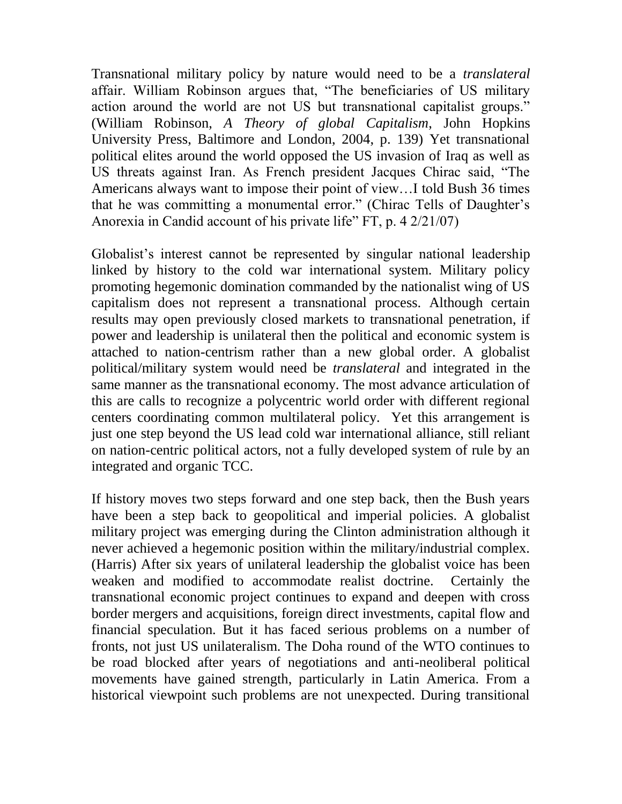Transnational military policy by nature would need to be a *translateral* affair. William Robinson argues that, "The beneficiaries of US military action around the world are not US but transnational capitalist groups." (William Robinson, *A Theory of global Capitalism*, John Hopkins University Press, Baltimore and London, 2004, p. 139) Yet transnational political elites around the world opposed the US invasion of Iraq as well as US threats against Iran. As French president Jacques Chirac said, "The Americans always want to impose their point of view…I told Bush 36 times that he was committing a monumental error." (Chirac Tells of Daughter's Anorexia in Candid account of his private life" FT, p. 4 2/21/07)

Globalist's interest cannot be represented by singular national leadership linked by history to the cold war international system. Military policy promoting hegemonic domination commanded by the nationalist wing of US capitalism does not represent a transnational process. Although certain results may open previously closed markets to transnational penetration, if power and leadership is unilateral then the political and economic system is attached to nation-centrism rather than a new global order. A globalist political/military system would need be *translateral* and integrated in the same manner as the transnational economy. The most advance articulation of this are calls to recognize a polycentric world order with different regional centers coordinating common multilateral policy. Yet this arrangement is just one step beyond the US lead cold war international alliance, still reliant on nation-centric political actors, not a fully developed system of rule by an integrated and organic TCC.

If history moves two steps forward and one step back, then the Bush years have been a step back to geopolitical and imperial policies. A globalist military project was emerging during the Clinton administration although it never achieved a hegemonic position within the military/industrial complex. (Harris) After six years of unilateral leadership the globalist voice has been weaken and modified to accommodate realist doctrine. Certainly the transnational economic project continues to expand and deepen with cross border mergers and acquisitions, foreign direct investments, capital flow and financial speculation. But it has faced serious problems on a number of fronts, not just US unilateralism. The Doha round of the WTO continues to be road blocked after years of negotiations and anti-neoliberal political movements have gained strength, particularly in Latin America. From a historical viewpoint such problems are not unexpected. During transitional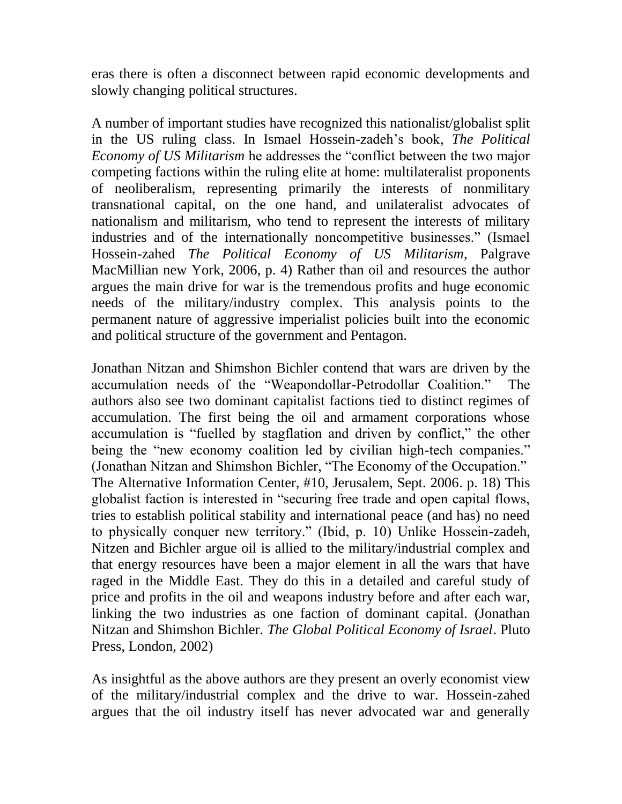eras there is often a disconnect between rapid economic developments and slowly changing political structures.

A number of important studies have recognized this nationalist/globalist split in the US ruling class. In Ismael Hossein-zadeh's book, *The Political Economy of US Militarism* he addresses the "conflict between the two major competing factions within the ruling elite at home: multilateralist proponents of neoliberalism, representing primarily the interests of nonmilitary transnational capital, on the one hand, and unilateralist advocates of nationalism and militarism, who tend to represent the interests of military industries and of the internationally noncompetitive businesses." (Ismael Hossein-zahed *The Political Economy of US Militarism*, Palgrave MacMillian new York, 2006, p. 4) Rather than oil and resources the author argues the main drive for war is the tremendous profits and huge economic needs of the military/industry complex. This analysis points to the permanent nature of aggressive imperialist policies built into the economic and political structure of the government and Pentagon.

Jonathan Nitzan and Shimshon Bichler contend that wars are driven by the accumulation needs of the "Weapondollar-Petrodollar Coalition." The authors also see two dominant capitalist factions tied to distinct regimes of accumulation. The first being the oil and armament corporations whose accumulation is "fuelled by stagflation and driven by conflict," the other being the "new economy coalition led by civilian high-tech companies." (Jonathan Nitzan and Shimshon Bichler, "The Economy of the Occupation." The Alternative Information Center, #10, Jerusalem, Sept. 2006. p. 18) This globalist faction is interested in "securing free trade and open capital flows, tries to establish political stability and international peace (and has) no need to physically conquer new territory." (Ibid, p. 10) Unlike Hossein-zadeh, Nitzen and Bichler argue oil is allied to the military/industrial complex and that energy resources have been a major element in all the wars that have raged in the Middle East. They do this in a detailed and careful study of price and profits in the oil and weapons industry before and after each war, linking the two industries as one faction of dominant capital. (Jonathan Nitzan and Shimshon Bichler. *The Global Political Economy of Israel*. Pluto Press, London, 2002)

As insightful as the above authors are they present an overly economist view of the military/industrial complex and the drive to war. Hossein-zahed argues that the oil industry itself has never advocated war and generally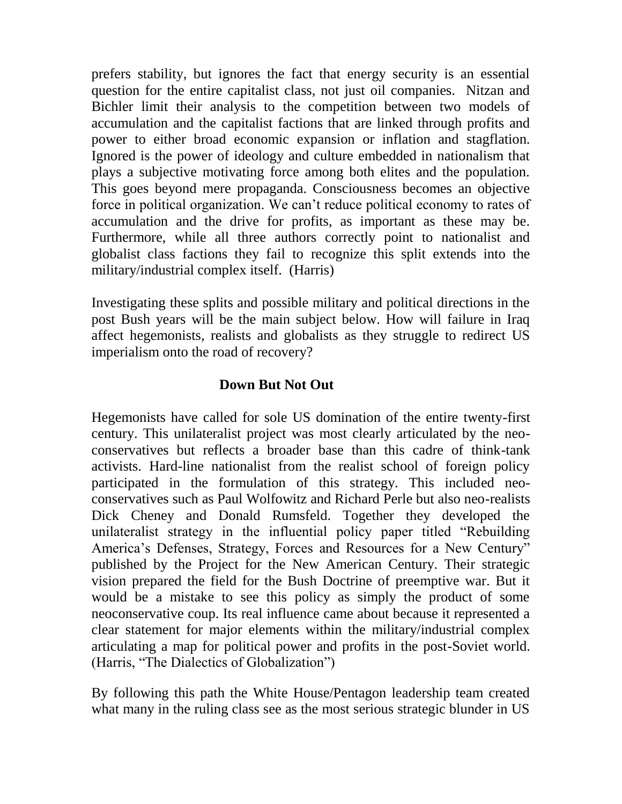prefers stability, but ignores the fact that energy security is an essential question for the entire capitalist class, not just oil companies. Nitzan and Bichler limit their analysis to the competition between two models of accumulation and the capitalist factions that are linked through profits and power to either broad economic expansion or inflation and stagflation. Ignored is the power of ideology and culture embedded in nationalism that plays a subjective motivating force among both elites and the population. This goes beyond mere propaganda. Consciousness becomes an objective force in political organization. We can't reduce political economy to rates of accumulation and the drive for profits, as important as these may be. Furthermore, while all three authors correctly point to nationalist and globalist class factions they fail to recognize this split extends into the military/industrial complex itself. (Harris)

Investigating these splits and possible military and political directions in the post Bush years will be the main subject below. How will failure in Iraq affect hegemonists, realists and globalists as they struggle to redirect US imperialism onto the road of recovery?

#### **Down But Not Out**

Hegemonists have called for sole US domination of the entire twenty-first century. This unilateralist project was most clearly articulated by the neoconservatives but reflects a broader base than this cadre of think-tank activists. Hard-line nationalist from the realist school of foreign policy participated in the formulation of this strategy. This included neoconservatives such as Paul Wolfowitz and Richard Perle but also neo-realists Dick Cheney and Donald Rumsfeld. Together they developed the unilateralist strategy in the influential policy paper titled "Rebuilding America's Defenses, Strategy, Forces and Resources for a New Century" published by the Project for the New American Century. Their strategic vision prepared the field for the Bush Doctrine of preemptive war. But it would be a mistake to see this policy as simply the product of some neoconservative coup. Its real influence came about because it represented a clear statement for major elements within the military/industrial complex articulating a map for political power and profits in the post-Soviet world. (Harris, "The Dialectics of Globalization")

By following this path the White House/Pentagon leadership team created what many in the ruling class see as the most serious strategic blunder in US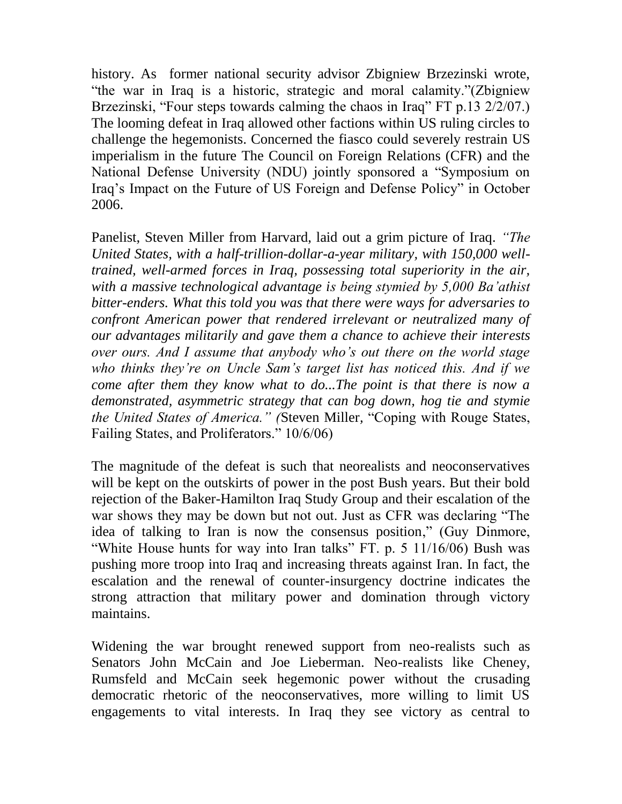history. As former national security advisor Zbigniew Brzezinski wrote, "the war in Iraq is a historic, strategic and moral calamity."(Zbigniew Brzezinski, "Four steps towards calming the chaos in Iraq" FT p.13 2/2/07.) The looming defeat in Iraq allowed other factions within US ruling circles to challenge the hegemonists. Concerned the fiasco could severely restrain US imperialism in the future The Council on Foreign Relations (CFR) and the National Defense University (NDU) jointly sponsored a "Symposium on Iraq's Impact on the Future of US Foreign and Defense Policy" in October 2006.

Panelist, Steven Miller from Harvard, laid out a grim picture of Iraq. *"The United States, with a half-trillion-dollar-a-year military, with 150,000 welltrained, well-armed forces in Iraq, possessing total superiority in the air, with a massive technological advantage is being stymied by 5,000 Ba'athist bitter-enders. What this told you was that there were ways for adversaries to confront American power that rendered irrelevant or neutralized many of our advantages militarily and gave them a chance to achieve their interests over ours. And I assume that anybody who's out there on the world stage who thinks they're on Uncle Sam's target list has noticed this. And if we come after them they know what to do...The point is that there is now a demonstrated, asymmetric strategy that can bog down, hog tie and stymie the United States of America." (*Steven Miller*,* "Coping with Rouge States, Failing States, and Proliferators." 10/6/06)

The magnitude of the defeat is such that neorealists and neoconservatives will be kept on the outskirts of power in the post Bush years. But their bold rejection of the Baker-Hamilton Iraq Study Group and their escalation of the war shows they may be down but not out. Just as CFR was declaring "The idea of talking to Iran is now the consensus position," (Guy Dinmore, "White House hunts for way into Iran talks" FT. p. 5 11/16/06) Bush was pushing more troop into Iraq and increasing threats against Iran. In fact, the escalation and the renewal of counter-insurgency doctrine indicates the strong attraction that military power and domination through victory maintains.

Widening the war brought renewed support from neo-realists such as Senators John McCain and Joe Lieberman. Neo-realists like Cheney, Rumsfeld and McCain seek hegemonic power without the crusading democratic rhetoric of the neoconservatives, more willing to limit US engagements to vital interests. In Iraq they see victory as central to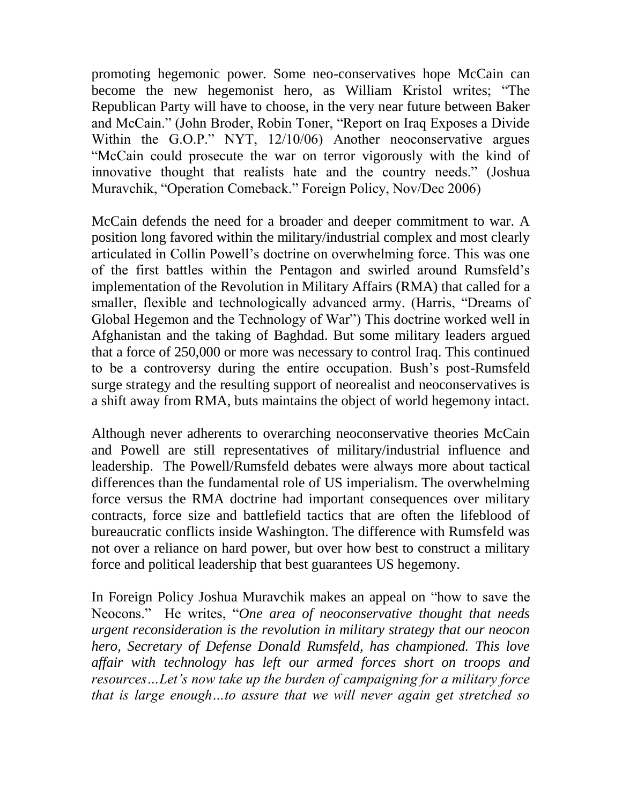promoting hegemonic power. Some neo-conservatives hope McCain can become the new hegemonist hero, as William Kristol writes; "The Republican Party will have to choose, in the very near future between Baker and McCain." (John Broder, Robin Toner, "Report on Iraq Exposes a Divide Within the G.O.P." NYT, 12/10/06) Another neoconservative argues "McCain could prosecute the war on terror vigorously with the kind of innovative thought that realists hate and the country needs." (Joshua Muravchik, "Operation Comeback." Foreign Policy, Nov/Dec 2006)

McCain defends the need for a broader and deeper commitment to war. A position long favored within the military/industrial complex and most clearly articulated in Collin Powell's doctrine on overwhelming force. This was one of the first battles within the Pentagon and swirled around Rumsfeld's implementation of the Revolution in Military Affairs (RMA) that called for a smaller, flexible and technologically advanced army. (Harris, "Dreams of Global Hegemon and the Technology of War") This doctrine worked well in Afghanistan and the taking of Baghdad. But some military leaders argued that a force of 250,000 or more was necessary to control Iraq. This continued to be a controversy during the entire occupation. Bush's post-Rumsfeld surge strategy and the resulting support of neorealist and neoconservatives is a shift away from RMA, buts maintains the object of world hegemony intact.

Although never adherents to overarching neoconservative theories McCain and Powell are still representatives of military/industrial influence and leadership. The Powell/Rumsfeld debates were always more about tactical differences than the fundamental role of US imperialism. The overwhelming force versus the RMA doctrine had important consequences over military contracts, force size and battlefield tactics that are often the lifeblood of bureaucratic conflicts inside Washington. The difference with Rumsfeld was not over a reliance on hard power, but over how best to construct a military force and political leadership that best guarantees US hegemony.

In Foreign Policy Joshua Muravchik makes an appeal on "how to save the Neocons." He writes, "*One area of neoconservative thought that needs urgent reconsideration is the revolution in military strategy that our neocon hero, Secretary of Defense Donald Rumsfeld, has championed. This love affair with technology has left our armed forces short on troops and resources…Let's now take up the burden of campaigning for a military force that is large enough…to assure that we will never again get stretched so*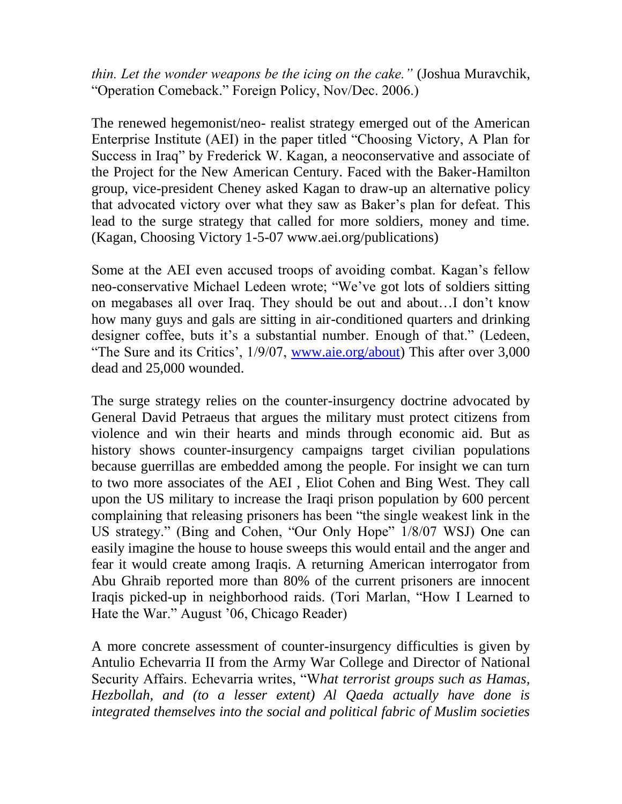*thin. Let the wonder weapons be the icing on the cake."* (Joshua Muravchik, "Operation Comeback." Foreign Policy, Nov/Dec. 2006.)

The renewed hegemonist/neo- realist strategy emerged out of the American Enterprise Institute (AEI) in the paper titled "Choosing Victory, A Plan for Success in Iraq" by Frederick W. Kagan, a neoconservative and associate of the Project for the New American Century. Faced with the Baker-Hamilton group, vice-president Cheney asked Kagan to draw-up an alternative policy that advocated victory over what they saw as Baker's plan for defeat. This lead to the surge strategy that called for more soldiers, money and time. (Kagan, Choosing Victory 1-5-07 www.aei.org/publications)

Some at the AEI even accused troops of avoiding combat. Kagan's fellow neo-conservative Michael Ledeen wrote; "We've got lots of soldiers sitting on megabases all over Iraq. They should be out and about…I don't know how many guys and gals are sitting in air-conditioned quarters and drinking designer coffee, buts it's a substantial number. Enough of that." (Ledeen, "The Sure and its Critics', 1/9/07, [www.aie.org/about\)](http://www.aie.org/about) This after over 3,000 dead and 25,000 wounded.

The surge strategy relies on the counter-insurgency doctrine advocated by General David Petraeus that argues the military must protect citizens from violence and win their hearts and minds through economic aid. But as history shows counter-insurgency campaigns target civilian populations because guerrillas are embedded among the people. For insight we can turn to two more associates of the AEI , Eliot Cohen and Bing West. They call upon the US military to increase the Iraqi prison population by 600 percent complaining that releasing prisoners has been "the single weakest link in the US strategy." (Bing and Cohen, "Our Only Hope" 1/8/07 WSJ) One can easily imagine the house to house sweeps this would entail and the anger and fear it would create among Iraqis. A returning American interrogator from Abu Ghraib reported more than 80% of the current prisoners are innocent Iraqis picked-up in neighborhood raids. (Tori Marlan, "How I Learned to Hate the War." August '06, Chicago Reader)

A more concrete assessment of counter-insurgency difficulties is given by Antulio Echevarria II from the Army War College and Director of National Security Affairs. Echevarria writes, "W*hat terrorist groups such as Hamas, Hezbollah, and (to a lesser extent) Al Qaeda actually have done is integrated themselves into the social and political fabric of Muslim societies*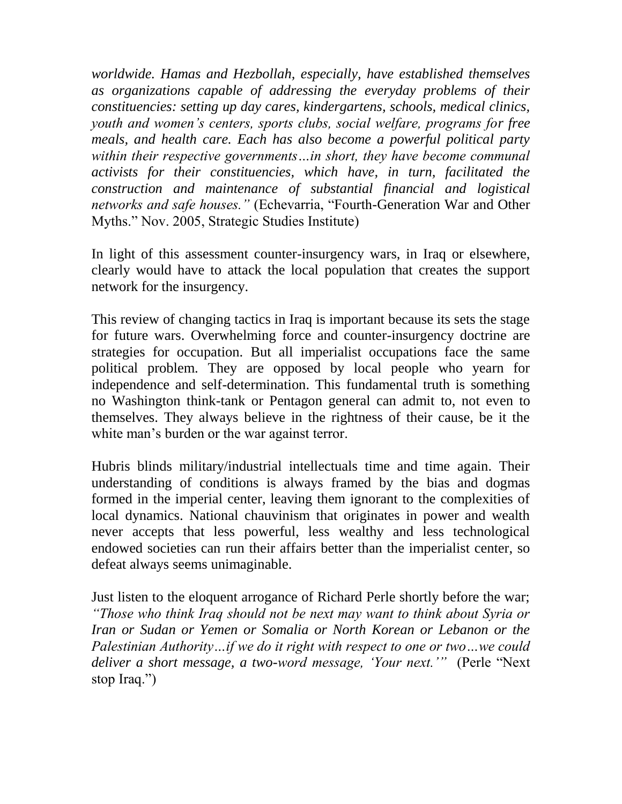*worldwide. Hamas and Hezbollah, especially, have established themselves as organizations capable of addressing the everyday problems of their constituencies: setting up day cares, kindergartens, schools, medical clinics, youth and women's centers, sports clubs, social welfare, programs for free meals, and health care. Each has also become a powerful political party within their respective governments…in short, they have become communal activists for their constituencies, which have, in turn, facilitated the construction and maintenance of substantial financial and logistical networks and safe houses."* (Echevarria, "Fourth-Generation War and Other Myths." Nov. 2005, Strategic Studies Institute)

In light of this assessment counter-insurgency wars, in Iraq or elsewhere, clearly would have to attack the local population that creates the support network for the insurgency.

This review of changing tactics in Iraq is important because its sets the stage for future wars. Overwhelming force and counter-insurgency doctrine are strategies for occupation. But all imperialist occupations face the same political problem. They are opposed by local people who yearn for independence and self-determination. This fundamental truth is something no Washington think-tank or Pentagon general can admit to, not even to themselves. They always believe in the rightness of their cause, be it the white man's burden or the war against terror.

Hubris blinds military/industrial intellectuals time and time again. Their understanding of conditions is always framed by the bias and dogmas formed in the imperial center, leaving them ignorant to the complexities of local dynamics. National chauvinism that originates in power and wealth never accepts that less powerful, less wealthy and less technological endowed societies can run their affairs better than the imperialist center, so defeat always seems unimaginable.

Just listen to the eloquent arrogance of Richard Perle shortly before the war; *"Those who think Iraq should not be next may want to think about Syria or Iran or Sudan or Yemen or Somalia or North Korean or Lebanon or the Palestinian Authority…if we do it right with respect to one or two…we could deliver a short message, a two-word message, 'Your next.'"* (Perle "Next stop Iraq.")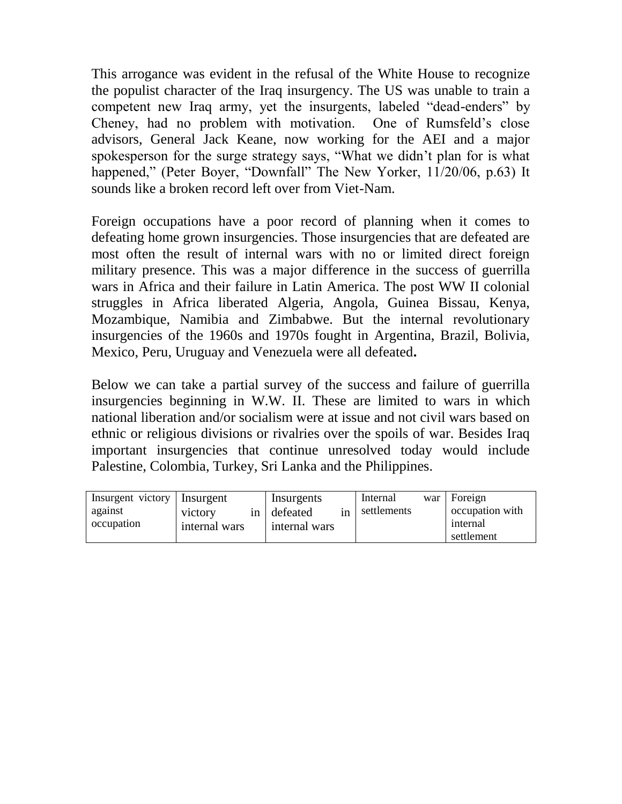This arrogance was evident in the refusal of the White House to recognize the populist character of the Iraq insurgency. The US was unable to train a competent new Iraq army, yet the insurgents, labeled "dead-enders" by Cheney, had no problem with motivation. One of Rumsfeld's close advisors, General Jack Keane, now working for the AEI and a major spokesperson for the surge strategy says, "What we didn't plan for is what happened," (Peter Boyer, "Downfall" The New Yorker, 11/20/06, p.63) It sounds like a broken record left over from Viet-Nam.

Foreign occupations have a poor record of planning when it comes to defeating home grown insurgencies. Those insurgencies that are defeated are most often the result of internal wars with no or limited direct foreign military presence. This was a major difference in the success of guerrilla wars in Africa and their failure in Latin America. The post WW II colonial struggles in Africa liberated Algeria, Angola, Guinea Bissau, Kenya, Mozambique, Namibia and Zimbabwe. But the internal revolutionary insurgencies of the 1960s and 1970s fought in Argentina, Brazil, Bolivia, Mexico, Peru, Uruguay and Venezuela were all defeated**.** 

Below we can take a partial survey of the success and failure of guerrilla insurgencies beginning in W.W. II. These are limited to wars in which national liberation and/or socialism were at issue and not civil wars based on ethnic or religious divisions or rivalries over the spoils of war. Besides Iraq important insurgencies that continue unresolved today would include Palestine, Colombia, Turkey, Sri Lanka and the Philippines.

| Insurgent victory   Insurgent |               | Insurgents    | Internal       | war l | Foreign                |
|-------------------------------|---------------|---------------|----------------|-------|------------------------|
| against                       | victory<br>in | defeated      | in settlements |       | occupation with        |
| occupation                    | internal wars | internal wars |                |       | internal<br>settlement |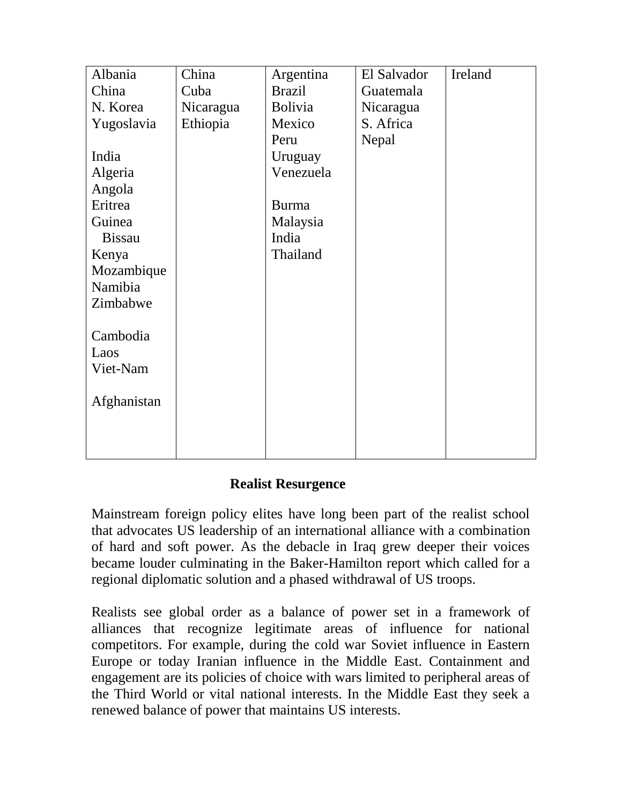| Albania       | China     | Argentina      | El Salvador | Ireland |
|---------------|-----------|----------------|-------------|---------|
| China         | Cuba      | <b>Brazil</b>  | Guatemala   |         |
| N. Korea      | Nicaragua | <b>Bolivia</b> | Nicaragua   |         |
| Yugoslavia    | Ethiopia  | Mexico         | S. Africa   |         |
|               |           | Peru           | Nepal       |         |
| India         |           | Uruguay        |             |         |
| Algeria       |           | Venezuela      |             |         |
| Angola        |           |                |             |         |
| Eritrea       |           | <b>Burma</b>   |             |         |
| Guinea        |           | Malaysia       |             |         |
| <b>Bissau</b> |           | India          |             |         |
| Kenya         |           | Thailand       |             |         |
| Mozambique    |           |                |             |         |
| Namibia       |           |                |             |         |
| Zimbabwe      |           |                |             |         |
|               |           |                |             |         |
| Cambodia      |           |                |             |         |
| Laos          |           |                |             |         |
| Viet-Nam      |           |                |             |         |
|               |           |                |             |         |
| Afghanistan   |           |                |             |         |
|               |           |                |             |         |
|               |           |                |             |         |
|               |           |                |             |         |

## **Realist Resurgence**

Mainstream foreign policy elites have long been part of the realist school that advocates US leadership of an international alliance with a combination of hard and soft power. As the debacle in Iraq grew deeper their voices became louder culminating in the Baker-Hamilton report which called for a regional diplomatic solution and a phased withdrawal of US troops.

Realists see global order as a balance of power set in a framework of alliances that recognize legitimate areas of influence for national competitors. For example, during the cold war Soviet influence in Eastern Europe or today Iranian influence in the Middle East. Containment and engagement are its policies of choice with wars limited to peripheral areas of the Third World or vital national interests. In the Middle East they seek a renewed balance of power that maintains US interests.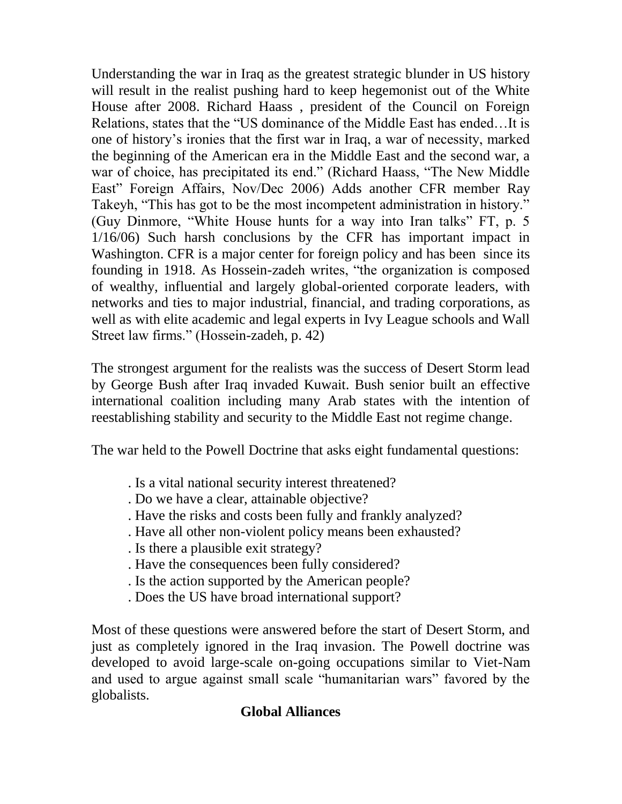Understanding the war in Iraq as the greatest strategic blunder in US history will result in the realist pushing hard to keep hegemonist out of the White House after 2008. Richard Haass , president of the Council on Foreign Relations, states that the "US dominance of the Middle East has ended…It is one of history's ironies that the first war in Iraq, a war of necessity, marked the beginning of the American era in the Middle East and the second war, a war of choice, has precipitated its end." (Richard Haass, "The New Middle East" Foreign Affairs, Nov/Dec 2006) Adds another CFR member Ray Takeyh, "This has got to be the most incompetent administration in history." (Guy Dinmore, "White House hunts for a way into Iran talks" FT, p. 5 1/16/06) Such harsh conclusions by the CFR has important impact in Washington. CFR is a major center for foreign policy and has been since its founding in 1918. As Hossein-zadeh writes, "the organization is composed of wealthy, influential and largely global-oriented corporate leaders, with networks and ties to major industrial, financial, and trading corporations, as well as with elite academic and legal experts in Ivy League schools and Wall Street law firms." (Hossein-zadeh, p. 42)

The strongest argument for the realists was the success of Desert Storm lead by George Bush after Iraq invaded Kuwait. Bush senior built an effective international coalition including many Arab states with the intention of reestablishing stability and security to the Middle East not regime change.

The war held to the Powell Doctrine that asks eight fundamental questions:

- . Is a vital national security interest threatened?
- . Do we have a clear, attainable objective?
- . Have the risks and costs been fully and frankly analyzed?
- . Have all other non-violent policy means been exhausted?
- . Is there a plausible exit strategy?
- . Have the consequences been fully considered?
- . Is the action supported by the American people?
- . Does the US have broad international support?

Most of these questions were answered before the start of Desert Storm, and just as completely ignored in the Iraq invasion. The Powell doctrine was developed to avoid large-scale on-going occupations similar to Viet-Nam and used to argue against small scale "humanitarian wars" favored by the globalists.

## **Global Alliances**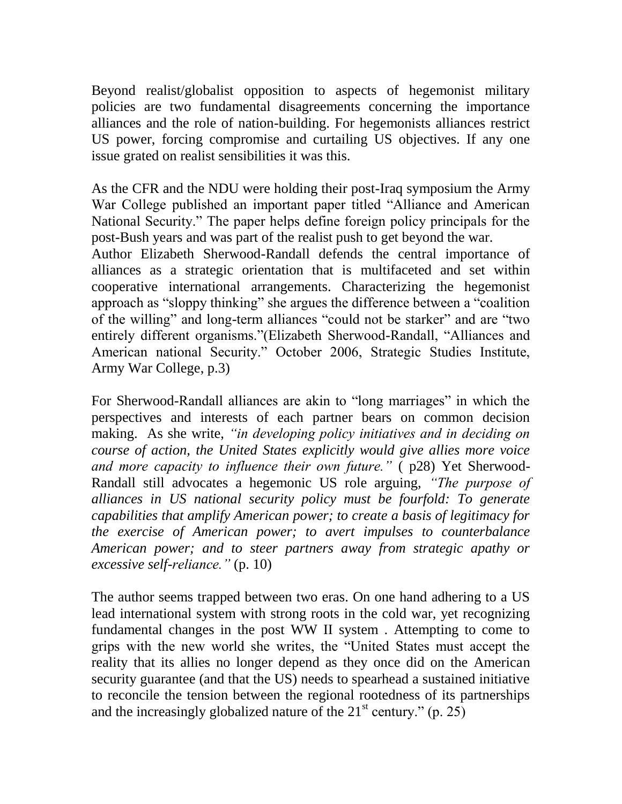Beyond realist/globalist opposition to aspects of hegemonist military policies are two fundamental disagreements concerning the importance alliances and the role of nation-building. For hegemonists alliances restrict US power, forcing compromise and curtailing US objectives. If any one issue grated on realist sensibilities it was this.

As the CFR and the NDU were holding their post-Iraq symposium the Army War College published an important paper titled "Alliance and American National Security." The paper helps define foreign policy principals for the post-Bush years and was part of the realist push to get beyond the war.

Author Elizabeth Sherwood-Randall defends the central importance of alliances as a strategic orientation that is multifaceted and set within cooperative international arrangements. Characterizing the hegemonist approach as "sloppy thinking" she argues the difference between a "coalition of the willing" and long-term alliances "could not be starker" and are "two entirely different organisms."(Elizabeth Sherwood-Randall, "Alliances and American national Security." October 2006, Strategic Studies Institute, Army War College, p.3)

For Sherwood-Randall alliances are akin to "long marriages" in which the perspectives and interests of each partner bears on common decision making. As she write, *"in developing policy initiatives and in deciding on course of action, the United States explicitly would give allies more voice and more capacity to influence their own future."* ( p28) Yet Sherwood-Randall still advocates a hegemonic US role arguing, *"The purpose of alliances in US national security policy must be fourfold: To generate capabilities that amplify American power; to create a basis of legitimacy for the exercise of American power; to avert impulses to counterbalance American power; and to steer partners away from strategic apathy or excessive self-reliance."* (p. 10)

The author seems trapped between two eras. On one hand adhering to a US lead international system with strong roots in the cold war, yet recognizing fundamental changes in the post WW II system . Attempting to come to grips with the new world she writes, the "United States must accept the reality that its allies no longer depend as they once did on the American security guarantee (and that the US) needs to spearhead a sustained initiative to reconcile the tension between the regional rootedness of its partnerships and the increasingly globalized nature of the  $21<sup>st</sup>$  century." (p. 25)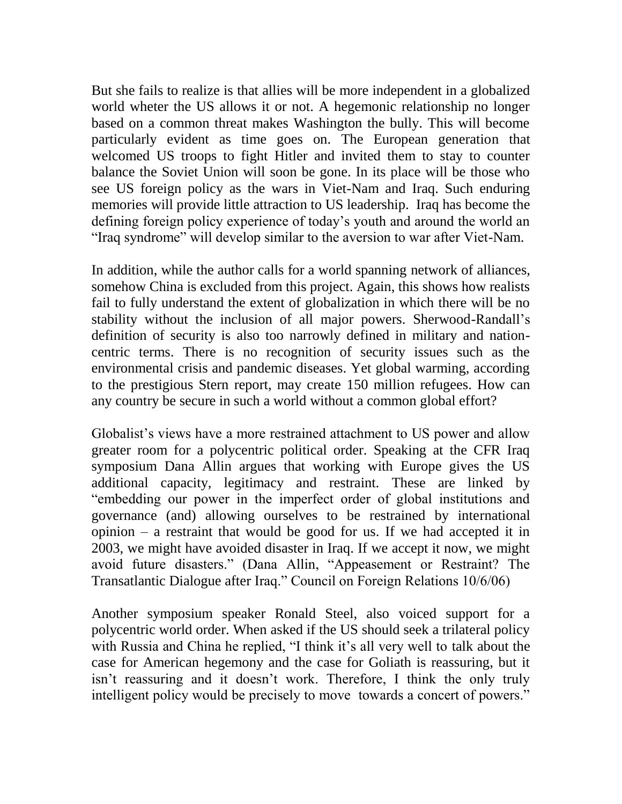But she fails to realize is that allies will be more independent in a globalized world wheter the US allows it or not. A hegemonic relationship no longer based on a common threat makes Washington the bully. This will become particularly evident as time goes on. The European generation that welcomed US troops to fight Hitler and invited them to stay to counter balance the Soviet Union will soon be gone. In its place will be those who see US foreign policy as the wars in Viet-Nam and Iraq. Such enduring memories will provide little attraction to US leadership. Iraq has become the defining foreign policy experience of today's youth and around the world an "Iraq syndrome" will develop similar to the aversion to war after Viet-Nam.

In addition, while the author calls for a world spanning network of alliances, somehow China is excluded from this project. Again, this shows how realists fail to fully understand the extent of globalization in which there will be no stability without the inclusion of all major powers. Sherwood-Randall's definition of security is also too narrowly defined in military and nationcentric terms. There is no recognition of security issues such as the environmental crisis and pandemic diseases. Yet global warming, according to the prestigious Stern report, may create 150 million refugees. How can any country be secure in such a world without a common global effort?

Globalist's views have a more restrained attachment to US power and allow greater room for a polycentric political order. Speaking at the CFR Iraq symposium Dana Allin argues that working with Europe gives the US additional capacity, legitimacy and restraint. These are linked by "embedding our power in the imperfect order of global institutions and governance (and) allowing ourselves to be restrained by international opinion – a restraint that would be good for us. If we had accepted it in 2003, we might have avoided disaster in Iraq. If we accept it now, we might avoid future disasters." (Dana Allin, "Appeasement or Restraint? The Transatlantic Dialogue after Iraq." Council on Foreign Relations 10/6/06)

Another symposium speaker Ronald Steel, also voiced support for a polycentric world order. When asked if the US should seek a trilateral policy with Russia and China he replied, "I think it's all very well to talk about the case for American hegemony and the case for Goliath is reassuring, but it isn't reassuring and it doesn't work. Therefore, I think the only truly intelligent policy would be precisely to move towards a concert of powers."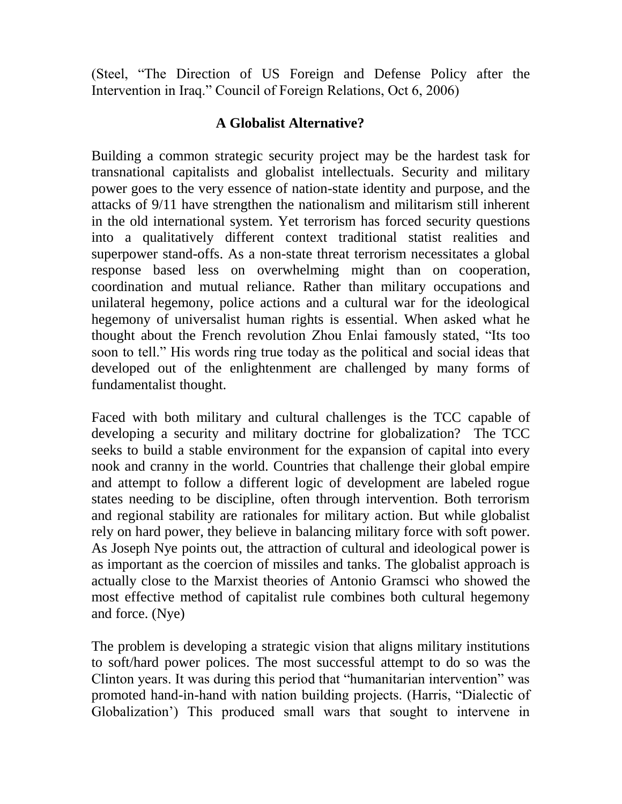(Steel, "The Direction of US Foreign and Defense Policy after the Intervention in Iraq." Council of Foreign Relations, Oct 6, 2006)

### **A Globalist Alternative?**

Building a common strategic security project may be the hardest task for transnational capitalists and globalist intellectuals. Security and military power goes to the very essence of nation-state identity and purpose, and the attacks of 9/11 have strengthen the nationalism and militarism still inherent in the old international system. Yet terrorism has forced security questions into a qualitatively different context traditional statist realities and superpower stand-offs. As a non-state threat terrorism necessitates a global response based less on overwhelming might than on cooperation, coordination and mutual reliance. Rather than military occupations and unilateral hegemony, police actions and a cultural war for the ideological hegemony of universalist human rights is essential. When asked what he thought about the French revolution Zhou Enlai famously stated, "Its too soon to tell." His words ring true today as the political and social ideas that developed out of the enlightenment are challenged by many forms of fundamentalist thought.

Faced with both military and cultural challenges is the TCC capable of developing a security and military doctrine for globalization? The TCC seeks to build a stable environment for the expansion of capital into every nook and cranny in the world. Countries that challenge their global empire and attempt to follow a different logic of development are labeled rogue states needing to be discipline, often through intervention. Both terrorism and regional stability are rationales for military action. But while globalist rely on hard power, they believe in balancing military force with soft power. As Joseph Nye points out, the attraction of cultural and ideological power is as important as the coercion of missiles and tanks. The globalist approach is actually close to the Marxist theories of Antonio Gramsci who showed the most effective method of capitalist rule combines both cultural hegemony and force. (Nye)

The problem is developing a strategic vision that aligns military institutions to soft/hard power polices. The most successful attempt to do so was the Clinton years. It was during this period that "humanitarian intervention" was promoted hand-in-hand with nation building projects. (Harris, "Dialectic of Globalization') This produced small wars that sought to intervene in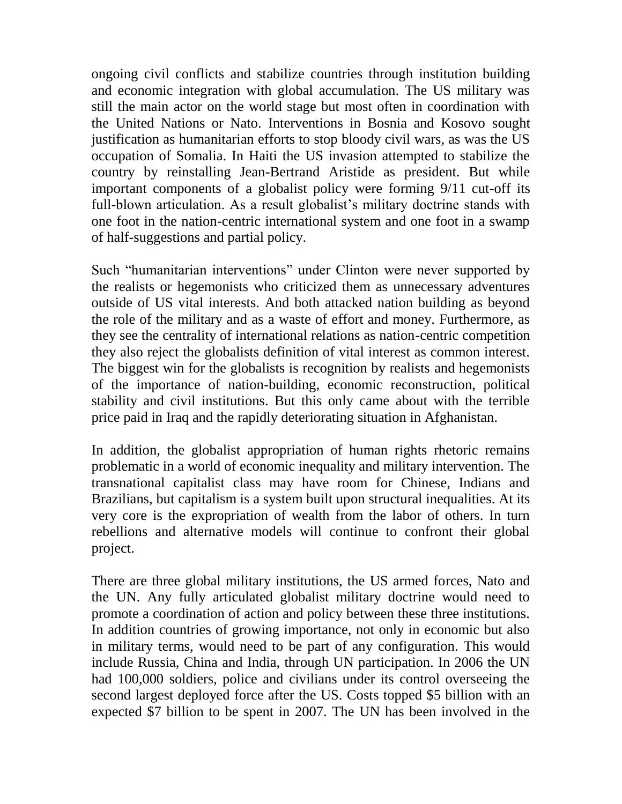ongoing civil conflicts and stabilize countries through institution building and economic integration with global accumulation. The US military was still the main actor on the world stage but most often in coordination with the United Nations or Nato. Interventions in Bosnia and Kosovo sought justification as humanitarian efforts to stop bloody civil wars, as was the US occupation of Somalia. In Haiti the US invasion attempted to stabilize the country by reinstalling Jean-Bertrand Aristide as president. But while important components of a globalist policy were forming 9/11 cut-off its full-blown articulation. As a result globalist's military doctrine stands with one foot in the nation-centric international system and one foot in a swamp of half-suggestions and partial policy.

Such "humanitarian interventions" under Clinton were never supported by the realists or hegemonists who criticized them as unnecessary adventures outside of US vital interests. And both attacked nation building as beyond the role of the military and as a waste of effort and money. Furthermore, as they see the centrality of international relations as nation-centric competition they also reject the globalists definition of vital interest as common interest. The biggest win for the globalists is recognition by realists and hegemonists of the importance of nation-building, economic reconstruction, political stability and civil institutions. But this only came about with the terrible price paid in Iraq and the rapidly deteriorating situation in Afghanistan.

In addition, the globalist appropriation of human rights rhetoric remains problematic in a world of economic inequality and military intervention. The transnational capitalist class may have room for Chinese, Indians and Brazilians, but capitalism is a system built upon structural inequalities. At its very core is the expropriation of wealth from the labor of others. In turn rebellions and alternative models will continue to confront their global project.

There are three global military institutions, the US armed forces, Nato and the UN. Any fully articulated globalist military doctrine would need to promote a coordination of action and policy between these three institutions. In addition countries of growing importance, not only in economic but also in military terms, would need to be part of any configuration. This would include Russia, China and India, through UN participation. In 2006 the UN had 100,000 soldiers, police and civilians under its control overseeing the second largest deployed force after the US. Costs topped \$5 billion with an expected \$7 billion to be spent in 2007. The UN has been involved in the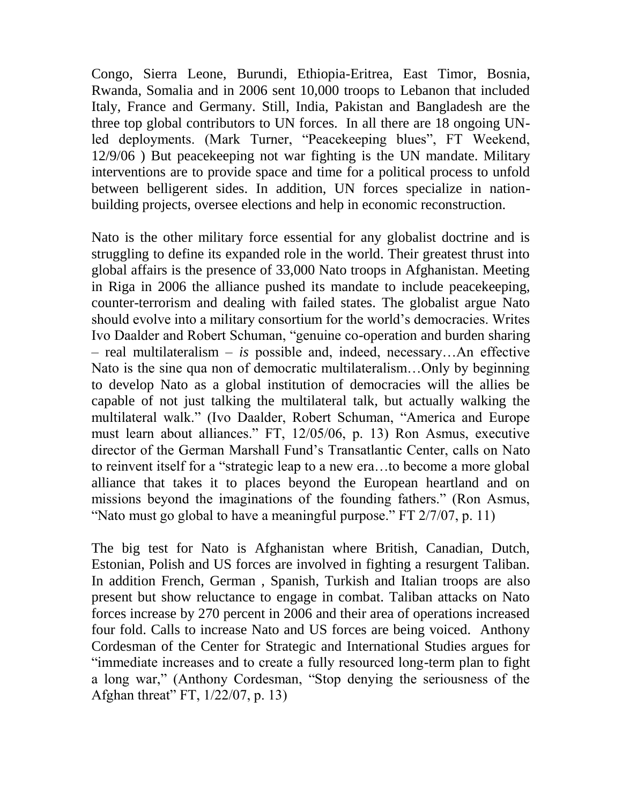Congo, Sierra Leone, Burundi, Ethiopia-Eritrea, East Timor, Bosnia, Rwanda, Somalia and in 2006 sent 10,000 troops to Lebanon that included Italy, France and Germany. Still, India, Pakistan and Bangladesh are the three top global contributors to UN forces. In all there are 18 ongoing UNled deployments. (Mark Turner, "Peacekeeping blues", FT Weekend, 12/9/06 ) But peacekeeping not war fighting is the UN mandate. Military interventions are to provide space and time for a political process to unfold between belligerent sides. In addition, UN forces specialize in nationbuilding projects, oversee elections and help in economic reconstruction.

Nato is the other military force essential for any globalist doctrine and is struggling to define its expanded role in the world. Their greatest thrust into global affairs is the presence of 33,000 Nato troops in Afghanistan. Meeting in Riga in 2006 the alliance pushed its mandate to include peacekeeping, counter-terrorism and dealing with failed states. The globalist argue Nato should evolve into a military consortium for the world's democracies. Writes Ivo Daalder and Robert Schuman, "genuine co-operation and burden sharing – real multilateralism – *is* possible and, indeed, necessary…An effective Nato is the sine qua non of democratic multilateralism…Only by beginning to develop Nato as a global institution of democracies will the allies be capable of not just talking the multilateral talk, but actually walking the multilateral walk." (Ivo Daalder, Robert Schuman, "America and Europe must learn about alliances." FT, 12/05/06, p. 13) Ron Asmus, executive director of the German Marshall Fund's Transatlantic Center, calls on Nato to reinvent itself for a "strategic leap to a new era…to become a more global alliance that takes it to places beyond the European heartland and on missions beyond the imaginations of the founding fathers." (Ron Asmus, "Nato must go global to have a meaningful purpose." FT 2/7/07, p. 11)

The big test for Nato is Afghanistan where British, Canadian, Dutch, Estonian, Polish and US forces are involved in fighting a resurgent Taliban. In addition French, German , Spanish, Turkish and Italian troops are also present but show reluctance to engage in combat. Taliban attacks on Nato forces increase by 270 percent in 2006 and their area of operations increased four fold. Calls to increase Nato and US forces are being voiced. Anthony Cordesman of the Center for Strategic and International Studies argues for "immediate increases and to create a fully resourced long-term plan to fight a long war," (Anthony Cordesman, "Stop denying the seriousness of the Afghan threat" FT, 1/22/07, p. 13)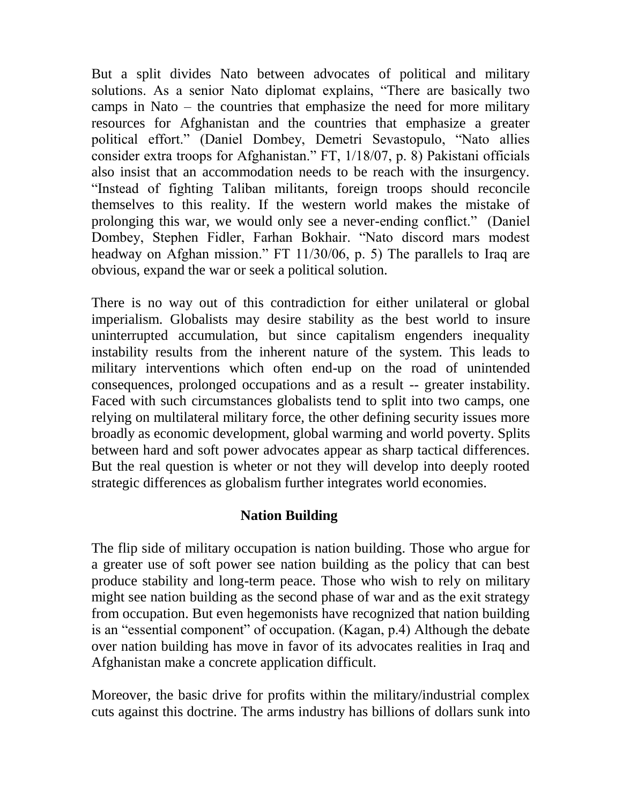But a split divides Nato between advocates of political and military solutions. As a senior Nato diplomat explains, "There are basically two camps in Nato – the countries that emphasize the need for more military resources for Afghanistan and the countries that emphasize a greater political effort." (Daniel Dombey, Demetri Sevastopulo, "Nato allies consider extra troops for Afghanistan." FT, 1/18/07, p. 8) Pakistani officials also insist that an accommodation needs to be reach with the insurgency. "Instead of fighting Taliban militants, foreign troops should reconcile themselves to this reality. If the western world makes the mistake of prolonging this war, we would only see a never-ending conflict." (Daniel Dombey, Stephen Fidler, Farhan Bokhair. "Nato discord mars modest headway on Afghan mission." FT 11/30/06, p. 5) The parallels to Iraq are obvious, expand the war or seek a political solution.

There is no way out of this contradiction for either unilateral or global imperialism. Globalists may desire stability as the best world to insure uninterrupted accumulation, but since capitalism engenders inequality instability results from the inherent nature of the system. This leads to military interventions which often end-up on the road of unintended consequences, prolonged occupations and as a result -- greater instability. Faced with such circumstances globalists tend to split into two camps, one relying on multilateral military force, the other defining security issues more broadly as economic development, global warming and world poverty. Splits between hard and soft power advocates appear as sharp tactical differences. But the real question is wheter or not they will develop into deeply rooted strategic differences as globalism further integrates world economies.

# **Nation Building**

The flip side of military occupation is nation building. Those who argue for a greater use of soft power see nation building as the policy that can best produce stability and long-term peace. Those who wish to rely on military might see nation building as the second phase of war and as the exit strategy from occupation. But even hegemonists have recognized that nation building is an "essential component" of occupation. (Kagan, p.4) Although the debate over nation building has move in favor of its advocates realities in Iraq and Afghanistan make a concrete application difficult.

Moreover, the basic drive for profits within the military/industrial complex cuts against this doctrine. The arms industry has billions of dollars sunk into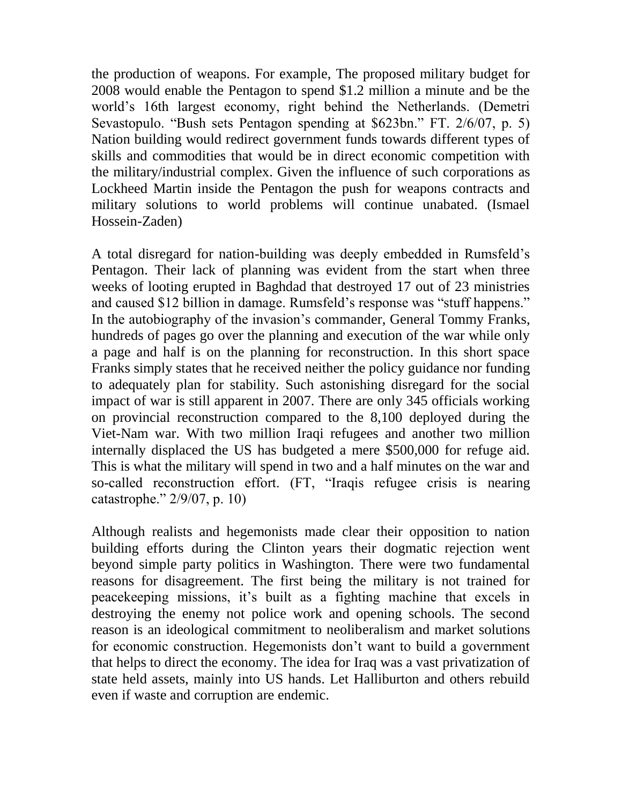the production of weapons. For example, The proposed military budget for 2008 would enable the Pentagon to spend \$1.2 million a minute and be the world's 16th largest economy, right behind the Netherlands. (Demetri Sevastopulo. "Bush sets Pentagon spending at \$623bn." FT. 2/6/07, p. 5) Nation building would redirect government funds towards different types of skills and commodities that would be in direct economic competition with the military/industrial complex. Given the influence of such corporations as Lockheed Martin inside the Pentagon the push for weapons contracts and military solutions to world problems will continue unabated. (Ismael Hossein-Zaden)

A total disregard for nation-building was deeply embedded in Rumsfeld's Pentagon. Their lack of planning was evident from the start when three weeks of looting erupted in Baghdad that destroyed 17 out of 23 ministries and caused \$12 billion in damage. Rumsfeld's response was "stuff happens." In the autobiography of the invasion's commander, General Tommy Franks, hundreds of pages go over the planning and execution of the war while only a page and half is on the planning for reconstruction. In this short space Franks simply states that he received neither the policy guidance nor funding to adequately plan for stability. Such astonishing disregard for the social impact of war is still apparent in 2007. There are only 345 officials working on provincial reconstruction compared to the 8,100 deployed during the Viet-Nam war. With two million Iraqi refugees and another two million internally displaced the US has budgeted a mere \$500,000 for refuge aid. This is what the military will spend in two and a half minutes on the war and so-called reconstruction effort. (FT, "Iraqis refugee crisis is nearing catastrophe." 2/9/07, p. 10)

Although realists and hegemonists made clear their opposition to nation building efforts during the Clinton years their dogmatic rejection went beyond simple party politics in Washington. There were two fundamental reasons for disagreement. The first being the military is not trained for peacekeeping missions, it's built as a fighting machine that excels in destroying the enemy not police work and opening schools. The second reason is an ideological commitment to neoliberalism and market solutions for economic construction. Hegemonists don't want to build a government that helps to direct the economy. The idea for Iraq was a vast privatization of state held assets, mainly into US hands. Let Halliburton and others rebuild even if waste and corruption are endemic.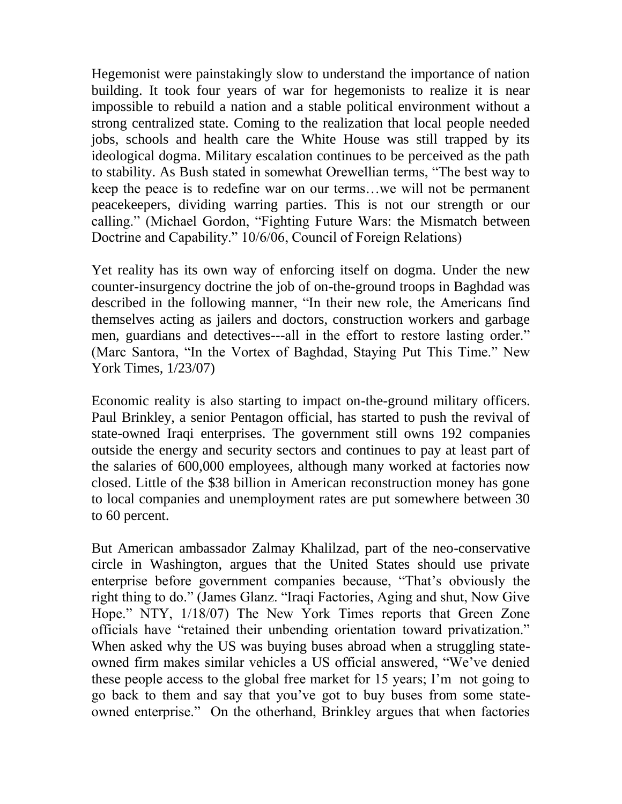Hegemonist were painstakingly slow to understand the importance of nation building. It took four years of war for hegemonists to realize it is near impossible to rebuild a nation and a stable political environment without a strong centralized state. Coming to the realization that local people needed jobs, schools and health care the White House was still trapped by its ideological dogma. Military escalation continues to be perceived as the path to stability. As Bush stated in somewhat Orewellian terms, "The best way to keep the peace is to redefine war on our terms…we will not be permanent peacekeepers, dividing warring parties. This is not our strength or our calling." (Michael Gordon, "Fighting Future Wars: the Mismatch between Doctrine and Capability." 10/6/06, Council of Foreign Relations)

Yet reality has its own way of enforcing itself on dogma. Under the new counter-insurgency doctrine the job of on-the-ground troops in Baghdad was described in the following manner, "In their new role, the Americans find themselves acting as jailers and doctors, construction workers and garbage men, guardians and detectives---all in the effort to restore lasting order." (Marc Santora, "In the Vortex of Baghdad, Staying Put This Time." New York Times, 1/23/07)

Economic reality is also starting to impact on-the-ground military officers. Paul Brinkley, a senior Pentagon official, has started to push the revival of state-owned Iraqi enterprises. The government still owns 192 companies outside the energy and security sectors and continues to pay at least part of the salaries of 600,000 employees, although many worked at factories now closed. Little of the \$38 billion in American reconstruction money has gone to local companies and unemployment rates are put somewhere between 30 to 60 percent.

But American ambassador Zalmay Khalilzad, part of the neo-conservative circle in Washington, argues that the United States should use private enterprise before government companies because, "That's obviously the right thing to do." (James Glanz. "Iraqi Factories, Aging and shut, Now Give Hope." NTY, 1/18/07) The New York Times reports that Green Zone officials have "retained their unbending orientation toward privatization." When asked why the US was buying buses abroad when a struggling stateowned firm makes similar vehicles a US official answered, "We've denied these people access to the global free market for 15 years; I'm not going to go back to them and say that you've got to buy buses from some stateowned enterprise." On the otherhand, Brinkley argues that when factories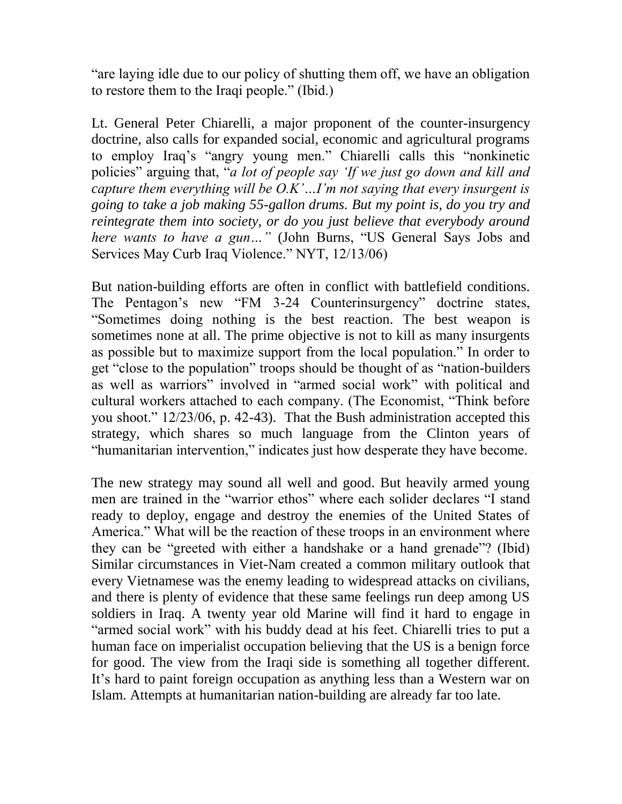"are laying idle due to our policy of shutting them off, we have an obligation to restore them to the Iraqi people." (Ibid.)

Lt. General Peter Chiarelli, a major proponent of the counter-insurgency doctrine, also calls for expanded social, economic and agricultural programs to employ Iraq's "angry young men." Chiarelli calls this "nonkinetic policies" arguing that, "*a lot of people say 'If we just go down and kill and capture them everything will be O.K'…I'm not saying that every insurgent is going to take a job making 55-gallon drums. But my point is, do you try and reintegrate them into society, or do you just believe that everybody around here wants to have a gun…"* (John Burns, "US General Says Jobs and Services May Curb Iraq Violence." NYT, 12/13/06)

But nation-building efforts are often in conflict with battlefield conditions. The Pentagon's new "FM 3-24 Counterinsurgency" doctrine states, "Sometimes doing nothing is the best reaction. The best weapon is sometimes none at all. The prime objective is not to kill as many insurgents as possible but to maximize support from the local population." In order to get "close to the population" troops should be thought of as "nation-builders as well as warriors" involved in "armed social work" with political and cultural workers attached to each company. (The Economist, "Think before you shoot." 12/23/06, p. 42-43). That the Bush administration accepted this strategy, which shares so much language from the Clinton years of "humanitarian intervention," indicates just how desperate they have become.

The new strategy may sound all well and good. But heavily armed young men are trained in the "warrior ethos" where each solider declares "I stand ready to deploy, engage and destroy the enemies of the United States of America." What will be the reaction of these troops in an environment where they can be "greeted with either a handshake or a hand grenade"? (Ibid) Similar circumstances in Viet-Nam created a common military outlook that every Vietnamese was the enemy leading to widespread attacks on civilians, and there is plenty of evidence that these same feelings run deep among US soldiers in Iraq. A twenty year old Marine will find it hard to engage in "armed social work" with his buddy dead at his feet. Chiarelli tries to put a human face on imperialist occupation believing that the US is a benign force for good. The view from the Iraqi side is something all together different. It's hard to paint foreign occupation as anything less than a Western war on Islam. Attempts at humanitarian nation-building are already far too late.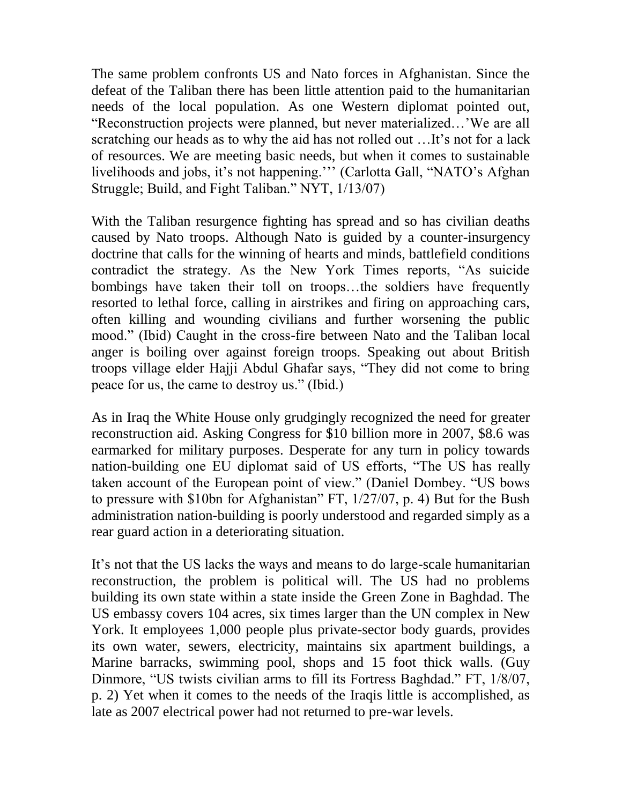The same problem confronts US and Nato forces in Afghanistan. Since the defeat of the Taliban there has been little attention paid to the humanitarian needs of the local population. As one Western diplomat pointed out, "Reconstruction projects were planned, but never materialized…'We are all scratching our heads as to why the aid has not rolled out …It's not for a lack of resources. We are meeting basic needs, but when it comes to sustainable livelihoods and jobs, it's not happening.''' (Carlotta Gall, "NATO's Afghan Struggle; Build, and Fight Taliban." NYT, 1/13/07)

With the Taliban resurgence fighting has spread and so has civilian deaths caused by Nato troops. Although Nato is guided by a counter-insurgency doctrine that calls for the winning of hearts and minds, battlefield conditions contradict the strategy. As the New York Times reports, "As suicide bombings have taken their toll on troops…the soldiers have frequently resorted to lethal force, calling in airstrikes and firing on approaching cars, often killing and wounding civilians and further worsening the public mood." (Ibid) Caught in the cross-fire between Nato and the Taliban local anger is boiling over against foreign troops. Speaking out about British troops village elder Hajji Abdul Ghafar says, "They did not come to bring peace for us, the came to destroy us." (Ibid.)

As in Iraq the White House only grudgingly recognized the need for greater reconstruction aid. Asking Congress for \$10 billion more in 2007, \$8.6 was earmarked for military purposes. Desperate for any turn in policy towards nation-building one EU diplomat said of US efforts, "The US has really taken account of the European point of view." (Daniel Dombey. "US bows to pressure with \$10bn for Afghanistan" FT, 1/27/07, p. 4) But for the Bush administration nation-building is poorly understood and regarded simply as a rear guard action in a deteriorating situation.

It's not that the US lacks the ways and means to do large-scale humanitarian reconstruction, the problem is political will. The US had no problems building its own state within a state inside the Green Zone in Baghdad. The US embassy covers 104 acres, six times larger than the UN complex in New York. It employees 1,000 people plus private-sector body guards, provides its own water, sewers, electricity, maintains six apartment buildings, a Marine barracks, swimming pool, shops and 15 foot thick walls. (Guy Dinmore, "US twists civilian arms to fill its Fortress Baghdad." FT, 1/8/07, p. 2) Yet when it comes to the needs of the Iraqis little is accomplished, as late as 2007 electrical power had not returned to pre-war levels.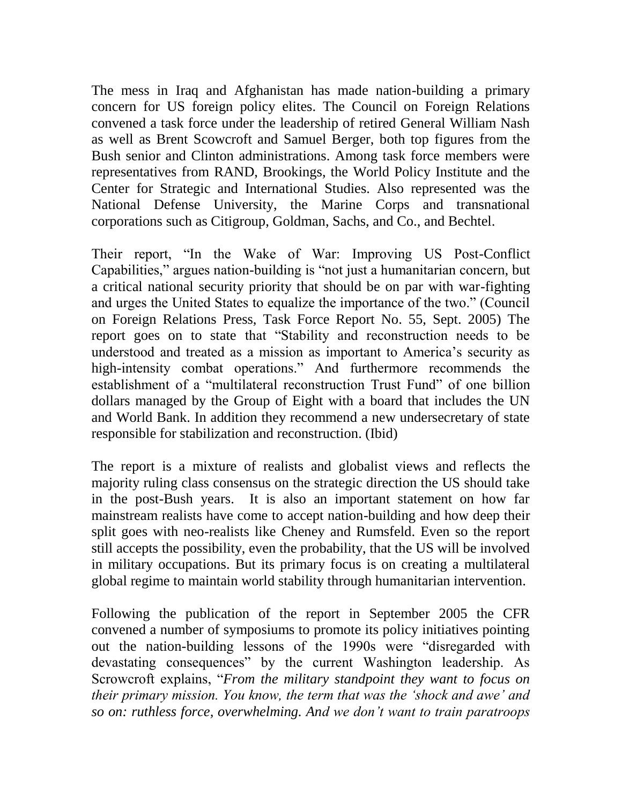The mess in Iraq and Afghanistan has made nation-building a primary concern for US foreign policy elites. The Council on Foreign Relations convened a task force under the leadership of retired General William Nash as well as Brent Scowcroft and Samuel Berger, both top figures from the Bush senior and Clinton administrations. Among task force members were representatives from RAND, Brookings, the World Policy Institute and the Center for Strategic and International Studies. Also represented was the National Defense University, the Marine Corps and transnational corporations such as Citigroup, Goldman, Sachs, and Co., and Bechtel.

Their report, "In the Wake of War: Improving US Post-Conflict Capabilities," argues nation-building is "not just a humanitarian concern, but a critical national security priority that should be on par with war-fighting and urges the United States to equalize the importance of the two." (Council on Foreign Relations Press, Task Force Report No. 55, Sept. 2005) The report goes on to state that "Stability and reconstruction needs to be understood and treated as a mission as important to America's security as high-intensity combat operations." And furthermore recommends the establishment of a "multilateral reconstruction Trust Fund" of one billion dollars managed by the Group of Eight with a board that includes the UN and World Bank. In addition they recommend a new undersecretary of state responsible for stabilization and reconstruction. (Ibid)

The report is a mixture of realists and globalist views and reflects the majority ruling class consensus on the strategic direction the US should take in the post-Bush years. It is also an important statement on how far mainstream realists have come to accept nation-building and how deep their split goes with neo-realists like Cheney and Rumsfeld. Even so the report still accepts the possibility, even the probability, that the US will be involved in military occupations. But its primary focus is on creating a multilateral global regime to maintain world stability through humanitarian intervention.

Following the publication of the report in September 2005 the CFR convened a number of symposiums to promote its policy initiatives pointing out the nation-building lessons of the 1990s were "disregarded with devastating consequences" by the current Washington leadership. As Scrowcroft explains, "*From the military standpoint they want to focus on their primary mission. You know, the term that was the 'shock and awe' and so on: ruthless force, overwhelming. And we don't want to train paratroops*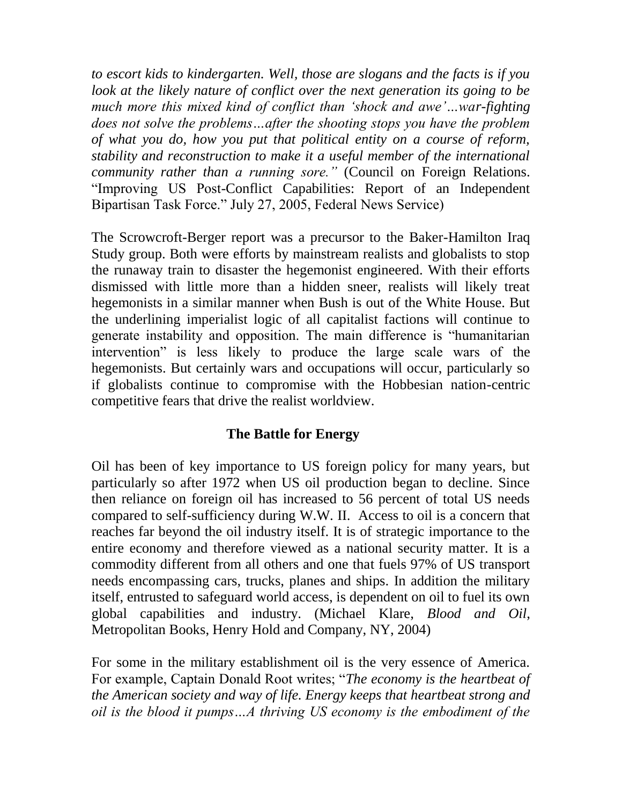*to escort kids to kindergarten. Well, those are slogans and the facts is if you look at the likely nature of conflict over the next generation its going to be much more this mixed kind of conflict than 'shock and awe'…war-fighting does not solve the problems…after the shooting stops you have the problem of what you do, how you put that political entity on a course of reform, stability and reconstruction to make it a useful member of the international community rather than a running sore."* (Council on Foreign Relations. "Improving US Post-Conflict Capabilities: Report of an Independent Bipartisan Task Force." July 27, 2005, Federal News Service)

The Scrowcroft-Berger report was a precursor to the Baker-Hamilton Iraq Study group. Both were efforts by mainstream realists and globalists to stop the runaway train to disaster the hegemonist engineered. With their efforts dismissed with little more than a hidden sneer, realists will likely treat hegemonists in a similar manner when Bush is out of the White House. But the underlining imperialist logic of all capitalist factions will continue to generate instability and opposition. The main difference is "humanitarian intervention" is less likely to produce the large scale wars of the hegemonists. But certainly wars and occupations will occur, particularly so if globalists continue to compromise with the Hobbesian nation-centric competitive fears that drive the realist worldview.

## **The Battle for Energy**

Oil has been of key importance to US foreign policy for many years, but particularly so after 1972 when US oil production began to decline. Since then reliance on foreign oil has increased to 56 percent of total US needs compared to self-sufficiency during W.W. II. Access to oil is a concern that reaches far beyond the oil industry itself. It is of strategic importance to the entire economy and therefore viewed as a national security matter. It is a commodity different from all others and one that fuels 97% of US transport needs encompassing cars, trucks, planes and ships. In addition the military itself, entrusted to safeguard world access, is dependent on oil to fuel its own global capabilities and industry. (Michael Klare, *Blood and Oil*, Metropolitan Books, Henry Hold and Company, NY, 2004)

For some in the military establishment oil is the very essence of America. For example, Captain Donald Root writes; "*The economy is the heartbeat of the American society and way of life. Energy keeps that heartbeat strong and oil is the blood it pumps…A thriving US economy is the embodiment of the*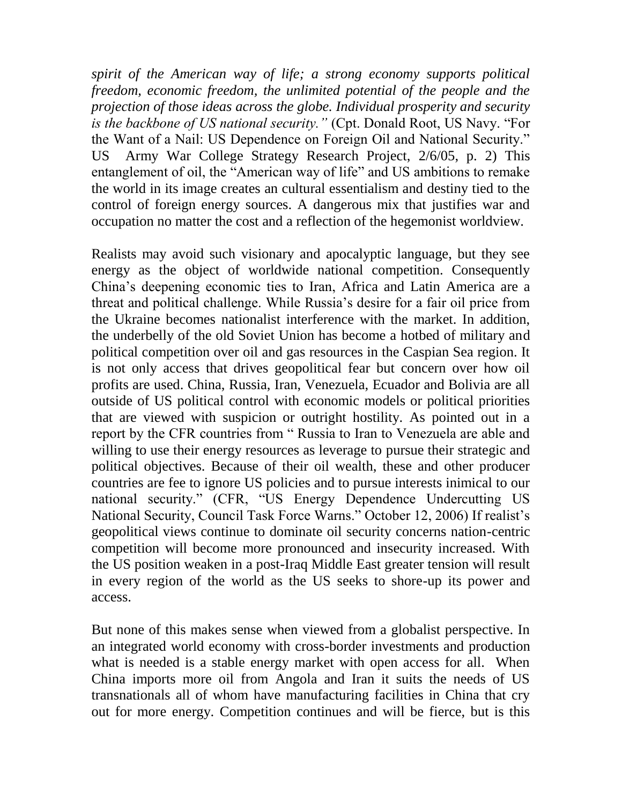*spirit of the American way of life; a strong economy supports political freedom, economic freedom, the unlimited potential of the people and the projection of those ideas across the globe. Individual prosperity and security is the backbone of US national security."* (Cpt. Donald Root, US Navy. "For the Want of a Nail: US Dependence on Foreign Oil and National Security." US Army War College Strategy Research Project, 2/6/05, p. 2) This entanglement of oil, the "American way of life" and US ambitions to remake the world in its image creates an cultural essentialism and destiny tied to the control of foreign energy sources. A dangerous mix that justifies war and occupation no matter the cost and a reflection of the hegemonist worldview.

Realists may avoid such visionary and apocalyptic language, but they see energy as the object of worldwide national competition. Consequently China's deepening economic ties to Iran, Africa and Latin America are a threat and political challenge. While Russia's desire for a fair oil price from the Ukraine becomes nationalist interference with the market. In addition, the underbelly of the old Soviet Union has become a hotbed of military and political competition over oil and gas resources in the Caspian Sea region. It is not only access that drives geopolitical fear but concern over how oil profits are used. China, Russia, Iran, Venezuela, Ecuador and Bolivia are all outside of US political control with economic models or political priorities that are viewed with suspicion or outright hostility. As pointed out in a report by the CFR countries from " Russia to Iran to Venezuela are able and willing to use their energy resources as leverage to pursue their strategic and political objectives. Because of their oil wealth, these and other producer countries are fee to ignore US policies and to pursue interests inimical to our national security." (CFR, "US Energy Dependence Undercutting US National Security, Council Task Force Warns." October 12, 2006) If realist's geopolitical views continue to dominate oil security concerns nation-centric competition will become more pronounced and insecurity increased. With the US position weaken in a post-Iraq Middle East greater tension will result in every region of the world as the US seeks to shore-up its power and access.

But none of this makes sense when viewed from a globalist perspective. In an integrated world economy with cross-border investments and production what is needed is a stable energy market with open access for all. When China imports more oil from Angola and Iran it suits the needs of US transnationals all of whom have manufacturing facilities in China that cry out for more energy. Competition continues and will be fierce, but is this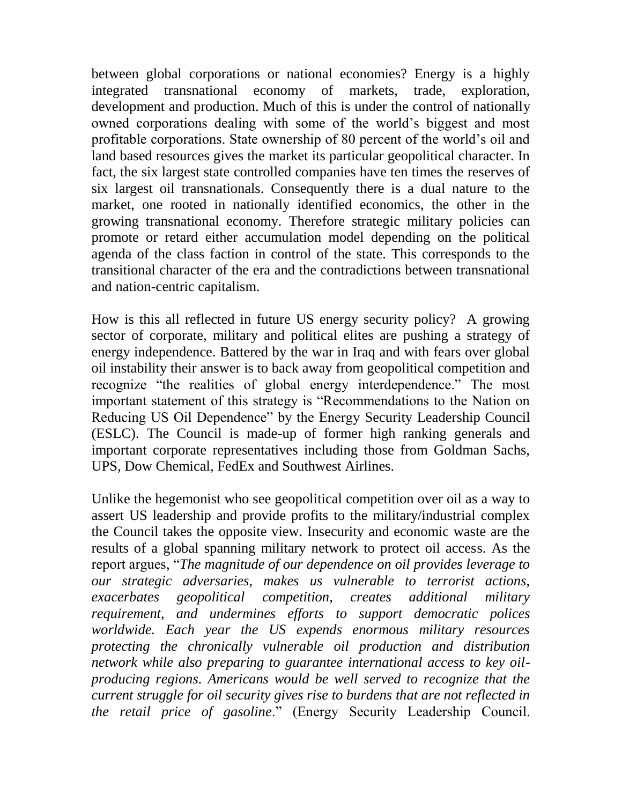between global corporations or national economies? Energy is a highly integrated transnational economy of markets, trade, exploration, development and production. Much of this is under the control of nationally owned corporations dealing with some of the world's biggest and most profitable corporations. State ownership of 80 percent of the world's oil and land based resources gives the market its particular geopolitical character. In fact, the six largest state controlled companies have ten times the reserves of six largest oil transnationals. Consequently there is a dual nature to the market, one rooted in nationally identified economics, the other in the growing transnational economy. Therefore strategic military policies can promote or retard either accumulation model depending on the political agenda of the class faction in control of the state. This corresponds to the transitional character of the era and the contradictions between transnational and nation-centric capitalism.

How is this all reflected in future US energy security policy? A growing sector of corporate, military and political elites are pushing a strategy of energy independence. Battered by the war in Iraq and with fears over global oil instability their answer is to back away from geopolitical competition and recognize "the realities of global energy interdependence." The most important statement of this strategy is "Recommendations to the Nation on Reducing US Oil Dependence" by the Energy Security Leadership Council (ESLC). The Council is made-up of former high ranking generals and important corporate representatives including those from Goldman Sachs, UPS, Dow Chemical, FedEx and Southwest Airlines.

Unlike the hegemonist who see geopolitical competition over oil as a way to assert US leadership and provide profits to the military/industrial complex the Council takes the opposite view. Insecurity and economic waste are the results of a global spanning military network to protect oil access. As the report argues, "*The magnitude of our dependence on oil provides leverage to our strategic adversaries, makes us vulnerable to terrorist actions, exacerbates geopolitical competition, creates additional military requirement, and undermines efforts to support democratic polices worldwide. Each year the US expends enormous military resources protecting the chronically vulnerable oil production and distribution network while also preparing to guarantee international access to key oilproducing regions. Americans would be well served to recognize that the current struggle for oil security gives rise to burdens that are not reflected in the retail price of gasoline*." (Energy Security Leadership Council.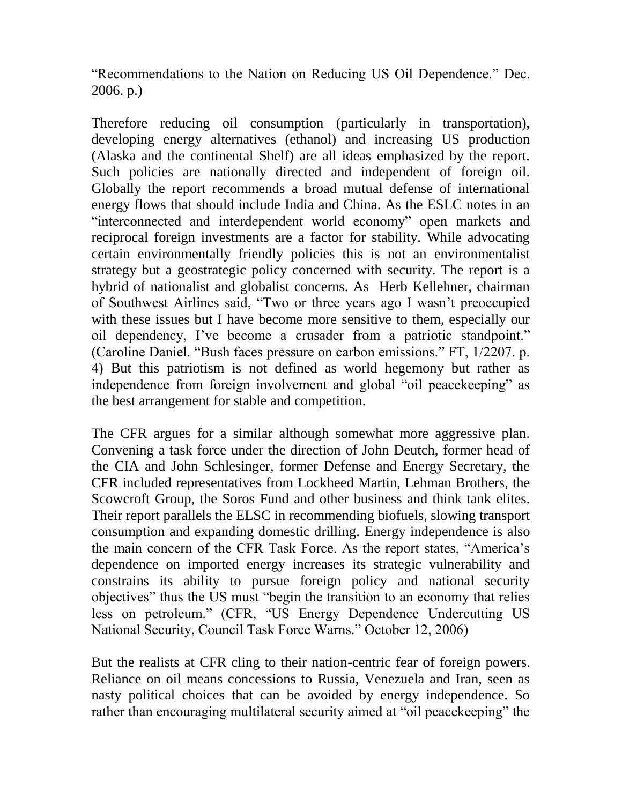"Recommendations to the Nation on Reducing US Oil Dependence." Dec. 2006. p.)

Therefore reducing oil consumption (particularly in transportation), developing energy alternatives (ethanol) and increasing US production (Alaska and the continental Shelf) are all ideas emphasized by the report. Such policies are nationally directed and independent of foreign oil. Globally the report recommends a broad mutual defense of international energy flows that should include India and China. As the ESLC notes in an "interconnected and interdependent world economy" open markets and reciprocal foreign investments are a factor for stability. While advocating certain environmentally friendly policies this is not an environmentalist strategy but a geostrategic policy concerned with security. The report is a hybrid of nationalist and globalist concerns. As Herb Kellehner, chairman of Southwest Airlines said, "Two or three years ago I wasn't preoccupied with these issues but I have become more sensitive to them, especially our oil dependency, I've become a crusader from a patriotic standpoint." (Caroline Daniel. "Bush faces pressure on carbon emissions." FT, 1/2207. p. 4) But this patriotism is not defined as world hegemony but rather as independence from foreign involvement and global "oil peacekeeping" as the best arrangement for stable and competition.

The CFR argues for a similar although somewhat more aggressive plan. Convening a task force under the direction of John Deutch, former head of the CIA and John Schlesinger, former Defense and Energy Secretary, the CFR included representatives from Lockheed Martin, Lehman Brothers, the Scowcroft Group, the Soros Fund and other business and think tank elites. Their report parallels the ELSC in recommending biofuels, slowing transport consumption and expanding domestic drilling. Energy independence is also the main concern of the CFR Task Force. As the report states, "America's dependence on imported energy increases its strategic vulnerability and constrains its ability to pursue foreign policy and national security objectives" thus the US must "begin the transition to an economy that relies less on petroleum." (CFR, "US Energy Dependence Undercutting US National Security, Council Task Force Warns." October 12, 2006)

But the realists at CFR cling to their nation-centric fear of foreign powers. Reliance on oil means concessions to Russia, Venezuela and Iran, seen as nasty political choices that can be avoided by energy independence. So rather than encouraging multilateral security aimed at "oil peacekeeping" the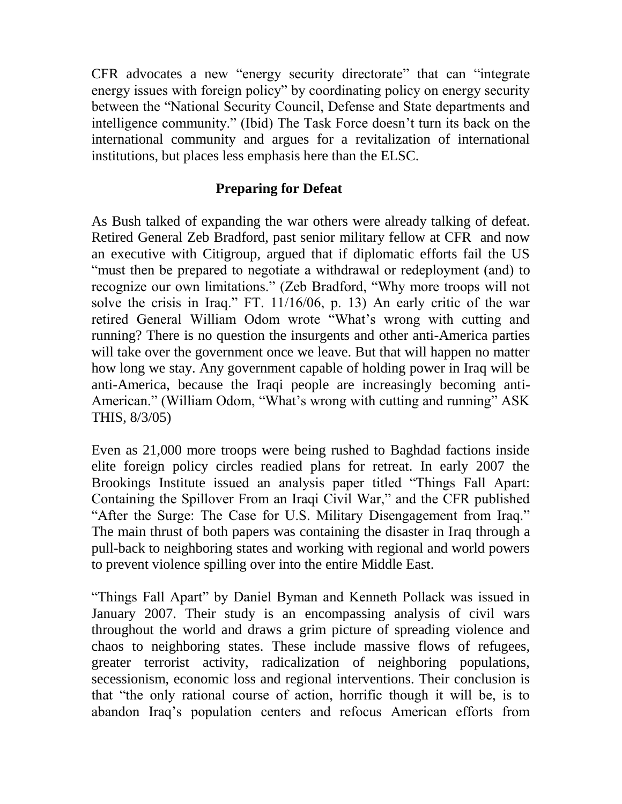CFR advocates a new "energy security directorate" that can "integrate energy issues with foreign policy" by coordinating policy on energy security between the "National Security Council, Defense and State departments and intelligence community." (Ibid) The Task Force doesn't turn its back on the international community and argues for a revitalization of international institutions, but places less emphasis here than the ELSC.

# **Preparing for Defeat**

As Bush talked of expanding the war others were already talking of defeat. Retired General Zeb Bradford, past senior military fellow at CFR and now an executive with Citigroup, argued that if diplomatic efforts fail the US "must then be prepared to negotiate a withdrawal or redeployment (and) to recognize our own limitations." (Zeb Bradford, "Why more troops will not solve the crisis in Iraq." FT. 11/16/06, p. 13) An early critic of the war retired General William Odom wrote "What's wrong with cutting and running? There is no question the insurgents and other anti-America parties will take over the government once we leave. But that will happen no matter how long we stay. Any government capable of holding power in Iraq will be anti-America, because the Iraqi people are increasingly becoming anti-American." (William Odom, "What's wrong with cutting and running" ASK THIS, 8/3/05)

Even as 21,000 more troops were being rushed to Baghdad factions inside elite foreign policy circles readied plans for retreat. In early 2007 the Brookings Institute issued an analysis paper titled "Things Fall Apart: Containing the Spillover From an Iraqi Civil War," and the CFR published "After the Surge: The Case for U.S. Military Disengagement from Iraq." The main thrust of both papers was containing the disaster in Iraq through a pull-back to neighboring states and working with regional and world powers to prevent violence spilling over into the entire Middle East.

"Things Fall Apart" by Daniel Byman and Kenneth Pollack was issued in January 2007. Their study is an encompassing analysis of civil wars throughout the world and draws a grim picture of spreading violence and chaos to neighboring states. These include massive flows of refugees, greater terrorist activity, radicalization of neighboring populations, secessionism, economic loss and regional interventions. Their conclusion is that "the only rational course of action, horrific though it will be, is to abandon Iraq's population centers and refocus American efforts from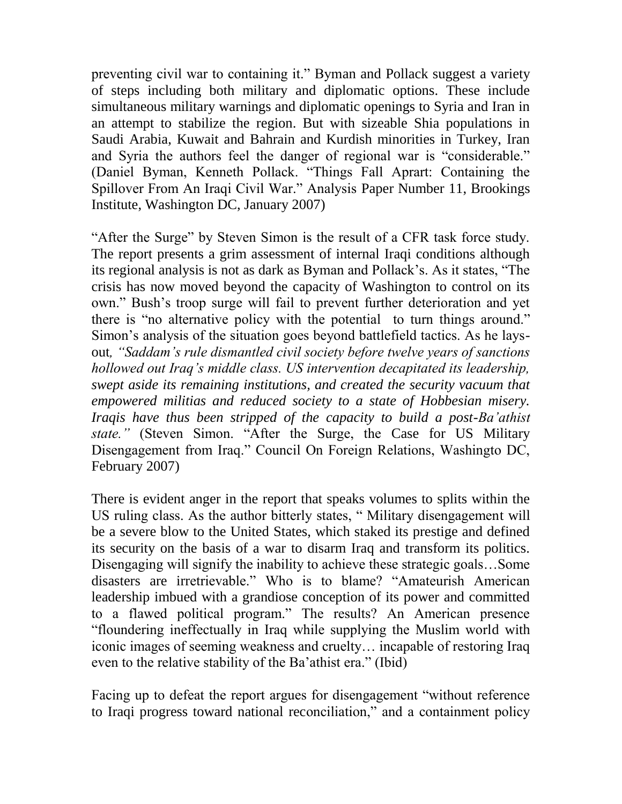preventing civil war to containing it." Byman and Pollack suggest a variety of steps including both military and diplomatic options. These include simultaneous military warnings and diplomatic openings to Syria and Iran in an attempt to stabilize the region. But with sizeable Shia populations in Saudi Arabia, Kuwait and Bahrain and Kurdish minorities in Turkey, Iran and Syria the authors feel the danger of regional war is "considerable." (Daniel Byman, Kenneth Pollack. "Things Fall Aprart: Containing the Spillover From An Iraqi Civil War." Analysis Paper Number 11, Brookings Institute, Washington DC, January 2007)

"After the Surge" by Steven Simon is the result of a CFR task force study. The report presents a grim assessment of internal Iraqi conditions although its regional analysis is not as dark as Byman and Pollack's. As it states, "The crisis has now moved beyond the capacity of Washington to control on its own." Bush's troop surge will fail to prevent further deterioration and yet there is "no alternative policy with the potential to turn things around." Simon's analysis of the situation goes beyond battlefield tactics. As he laysout*, "Saddam's rule dismantled civil society before twelve years of sanctions hollowed out Iraq's middle class. US intervention decapitated its leadership, swept aside its remaining institutions, and created the security vacuum that empowered militias and reduced society to a state of Hobbesian misery. Iraqis have thus been stripped of the capacity to build a post-Ba'athist state."* (Steven Simon. "After the Surge, the Case for US Military Disengagement from Iraq." Council On Foreign Relations, Washingto DC, February 2007)

There is evident anger in the report that speaks volumes to splits within the US ruling class. As the author bitterly states, " Military disengagement will be a severe blow to the United States, which staked its prestige and defined its security on the basis of a war to disarm Iraq and transform its politics. Disengaging will signify the inability to achieve these strategic goals…Some disasters are irretrievable." Who is to blame? "Amateurish American leadership imbued with a grandiose conception of its power and committed to a flawed political program." The results? An American presence "floundering ineffectually in Iraq while supplying the Muslim world with iconic images of seeming weakness and cruelty… incapable of restoring Iraq even to the relative stability of the Ba'athist era." (Ibid)

Facing up to defeat the report argues for disengagement "without reference to Iraqi progress toward national reconciliation," and a containment policy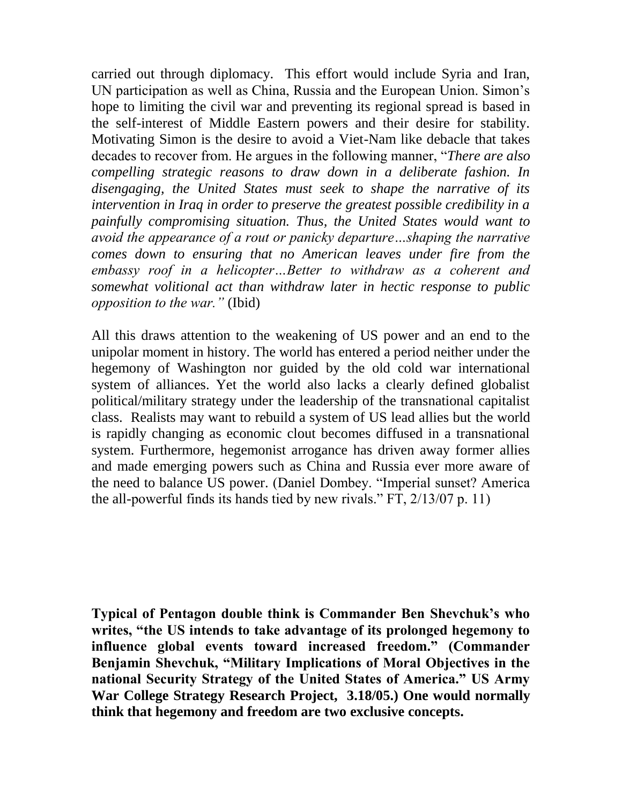carried out through diplomacy. This effort would include Syria and Iran, UN participation as well as China, Russia and the European Union. Simon's hope to limiting the civil war and preventing its regional spread is based in the self-interest of Middle Eastern powers and their desire for stability. Motivating Simon is the desire to avoid a Viet-Nam like debacle that takes decades to recover from. He argues in the following manner, "*There are also compelling strategic reasons to draw down in a deliberate fashion. In disengaging, the United States must seek to shape the narrative of its intervention in Iraq in order to preserve the greatest possible credibility in a painfully compromising situation. Thus, the United States would want to avoid the appearance of a rout or panicky departure…shaping the narrative comes down to ensuring that no American leaves under fire from the embassy roof in a helicopter…Better to withdraw as a coherent and somewhat volitional act than withdraw later in hectic response to public opposition to the war."* (Ibid)

All this draws attention to the weakening of US power and an end to the unipolar moment in history. The world has entered a period neither under the hegemony of Washington nor guided by the old cold war international system of alliances. Yet the world also lacks a clearly defined globalist political/military strategy under the leadership of the transnational capitalist class. Realists may want to rebuild a system of US lead allies but the world is rapidly changing as economic clout becomes diffused in a transnational system. Furthermore, hegemonist arrogance has driven away former allies and made emerging powers such as China and Russia ever more aware of the need to balance US power. (Daniel Dombey. "Imperial sunset? America the all-powerful finds its hands tied by new rivals." FT, 2/13/07 p. 11)

**Typical of Pentagon double think is Commander Ben Shevchuk's who writes, "the US intends to take advantage of its prolonged hegemony to influence global events toward increased freedom." (Commander Benjamin Shevchuk, "Military Implications of Moral Objectives in the national Security Strategy of the United States of America." US Army War College Strategy Research Project, 3.18/05.) One would normally think that hegemony and freedom are two exclusive concepts.**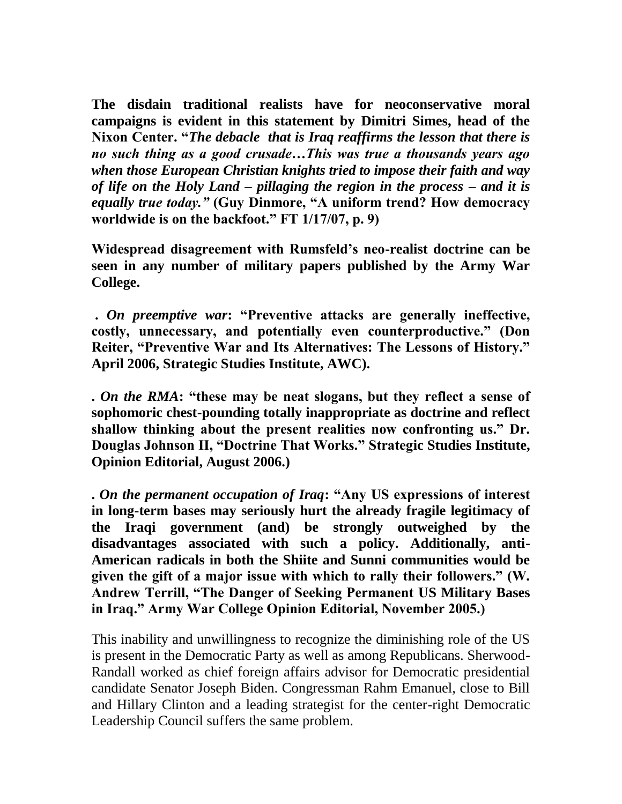**The disdain traditional realists have for neoconservative moral campaigns is evident in this statement by Dimitri Simes, head of the Nixon Center. "***The debacle that is Iraq reaffirms the lesson that there is no such thing as a good crusade…This was true a thousands years ago when those European Christian knights tried to impose their faith and way of life on the Holy Land – pillaging the region in the process – and it is equally true today."* **(Guy Dinmore, "A uniform trend? How democracy worldwide is on the backfoot." FT 1/17/07, p. 9)** 

**Widespread disagreement with Rumsfeld's neo-realist doctrine can be seen in any number of military papers published by the Army War College.** 

**.** *On preemptive war***: "Preventive attacks are generally ineffective, costly, unnecessary, and potentially even counterproductive." (Don Reiter, "Preventive War and Its Alternatives: The Lessons of History." April 2006, Strategic Studies Institute, AWC).**

**.** *On the RMA***: "these may be neat slogans, but they reflect a sense of sophomoric chest-pounding totally inappropriate as doctrine and reflect shallow thinking about the present realities now confronting us." Dr. Douglas Johnson II, "Doctrine That Works." Strategic Studies Institute, Opinion Editorial, August 2006.)**

**.** *On the permanent occupation of Iraq***: "Any US expressions of interest in long-term bases may seriously hurt the already fragile legitimacy of the Iraqi government (and) be strongly outweighed by the disadvantages associated with such a policy. Additionally, anti-American radicals in both the Shiite and Sunni communities would be given the gift of a major issue with which to rally their followers." (W. Andrew Terrill, "The Danger of Seeking Permanent US Military Bases in Iraq." Army War College Opinion Editorial, November 2005.)**

This inability and unwillingness to recognize the diminishing role of the US is present in the Democratic Party as well as among Republicans. Sherwood-Randall worked as chief foreign affairs advisor for Democratic presidential candidate Senator Joseph Biden. Congressman Rahm Emanuel, close to Bill and Hillary Clinton and a leading strategist for the center-right Democratic Leadership Council suffers the same problem.